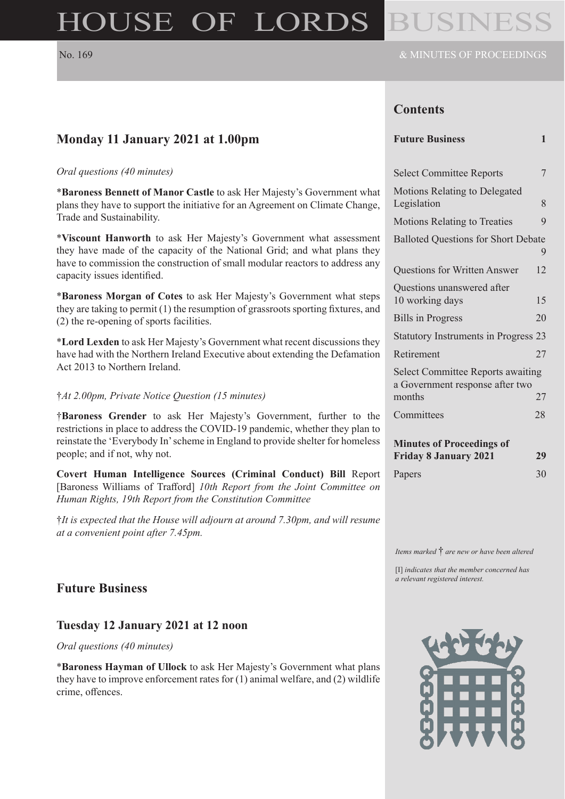# HOUSE OF LORDS

#### **Contents**

| <b>Future Business</b> |  |  |
|------------------------|--|--|
|------------------------|--|--|

| <b>Select Committee Reports</b>                                             | 7  |
|-----------------------------------------------------------------------------|----|
| <b>Motions Relating to Delegated</b><br>Legislation                         | 8  |
| <b>Motions Relating to Treaties</b>                                         | 9  |
| <b>Balloted Questions for Short Debate</b>                                  | 9  |
| Questions for Written Answer                                                | 12 |
| Questions unanswered after<br>10 working days                               | 15 |
| <b>Bills in Progress</b>                                                    | 20 |
| <b>Statutory Instruments in Progress 23</b>                                 |    |
| Retirement                                                                  | 27 |
| <b>Select Committee Reports awaiting</b><br>a Government response after two |    |
| months                                                                      | 27 |
| Committees                                                                  | 28 |
| <b>Minutes of Proceedings of</b><br><b>Friday 8 January 2021</b>            | 29 |

*Items marked* † *are new or have been altered*

Papers 30

[I] *indicates that the member concerned has a relevant registered interest.*



# **Monday 11 January 2021 at 1.00pm**

#### *Oral questions (40 minutes)*

\***Baroness Bennett of Manor Castle** to ask Her Majesty's Government what plans they have to support the initiative for an Agreement on Climate Change, Trade and Sustainability.

\***Viscount Hanworth** to ask Her Majesty's Government what assessment they have made of the capacity of the National Grid; and what plans they have to commission the construction of small modular reactors to address any capacity issues identified.

\***Baroness Morgan of Cotes** to ask Her Majesty's Government what steps they are taking to permit (1) the resumption of grassroots sporting fixtures, and (2) the re-opening of sports facilities.

\***Lord Lexden** to ask Her Majesty's Government what recent discussions they have had with the Northern Ireland Executive about extending the Defamation Act 2013 to Northern Ireland.

#### †*At 2.00pm, Private Notice Question (15 minutes)*

†**Baroness Grender** to ask Her Majesty's Government, further to the restrictions in place to address the COVID-19 pandemic, whether they plan to reinstate the 'Everybody In' scheme in England to provide shelter for homeless people; and if not, why not.

**Covert Human Intelligence Sources (Criminal Conduct) Bill** Report [Baroness Williams of Trafford] *10th Report from the Joint Committee on Human Rights, 19th Report from the Constitution Committee*

†*It is expected that the House will adjourn at around 7.30pm, and will resume at a convenient point after 7.45pm.*

# **Future Business**

#### **Tuesday 12 January 2021 at 12 noon**

#### *Oral questions (40 minutes)*

\***Baroness Hayman of Ullock** to ask Her Majesty's Government what plans they have to improve enforcement rates for (1) animal welfare, and (2) wildlife crime, offences.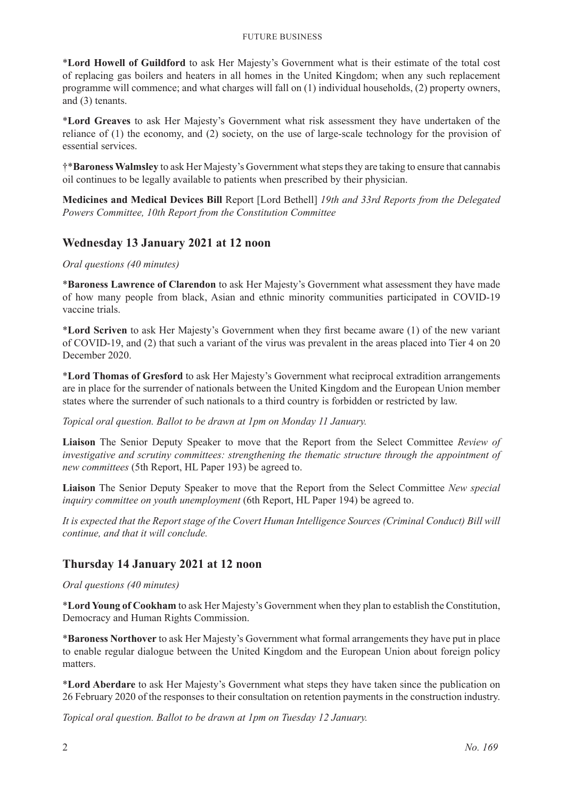#### Future Business

\***Lord Howell of Guildford** to ask Her Majesty's Government what is their estimate of the total cost of replacing gas boilers and heaters in all homes in the United Kingdom; when any such replacement programme will commence; and what charges will fall on (1) individual households, (2) property owners, and (3) tenants.

\***Lord Greaves** to ask Her Majesty's Government what risk assessment they have undertaken of the reliance of (1) the economy, and (2) society, on the use of large-scale technology for the provision of essential services.

†\***Baroness Walmsley** to ask Her Majesty's Government what steps they are taking to ensure that cannabis oil continues to be legally available to patients when prescribed by their physician.

**Medicines and Medical Devices Bill** Report [Lord Bethell] *19th and 33rd Reports from the Delegated Powers Committee, 10th Report from the Constitution Committee*

#### **Wednesday 13 January 2021 at 12 noon**

#### *Oral questions (40 minutes)*

\***Baroness Lawrence of Clarendon** to ask Her Majesty's Government what assessment they have made of how many people from black, Asian and ethnic minority communities participated in COVID-19 vaccine trials.

\***Lord Scriven** to ask Her Majesty's Government when they first became aware (1) of the new variant of COVID-19, and (2) that such a variant of the virus was prevalent in the areas placed into Tier 4 on 20 December 2020.

\***Lord Thomas of Gresford** to ask Her Majesty's Government what reciprocal extradition arrangements are in place for the surrender of nationals between the United Kingdom and the European Union member states where the surrender of such nationals to a third country is forbidden or restricted by law.

*Topical oral question. Ballot to be drawn at 1pm on Monday 11 January.*

**Liaison** The Senior Deputy Speaker to move that the Report from the Select Committee *Review of investigative and scrutiny committees: strengthening the thematic structure through the appointment of new committees* (5th Report, HL Paper 193) be agreed to.

**Liaison** The Senior Deputy Speaker to move that the Report from the Select Committee *New special inquiry committee on youth unemployment* (6th Report, HL Paper 194) be agreed to.

*It is expected that the Report stage of the Covert Human Intelligence Sources (Criminal Conduct) Bill will continue, and that it will conclude.*

# **Thursday 14 January 2021 at 12 noon**

#### *Oral questions (40 minutes)*

\***Lord Young of Cookham** to ask Her Majesty's Government when they plan to establish the Constitution, Democracy and Human Rights Commission.

\***Baroness Northover** to ask Her Majesty's Government what formal arrangements they have put in place to enable regular dialogue between the United Kingdom and the European Union about foreign policy matters.

\***Lord Aberdare** to ask Her Majesty's Government what steps they have taken since the publication on 26 February 2020 of the responses to their consultation on retention payments in the construction industry.

*Topical oral question. Ballot to be drawn at 1pm on Tuesday 12 January.*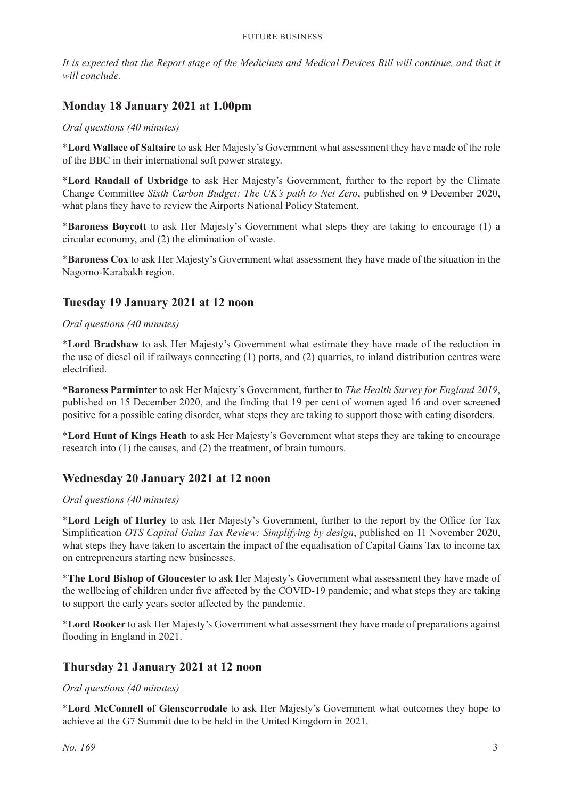*It is expected that the Report stage of the Medicines and Medical Devices Bill will continue, and that it will conclude.*

# **Monday 18 January 2021 at 1.00pm**

#### *Oral questions (40 minutes)*

\***Lord Wallace of Saltaire** to ask Her Majesty's Government what assessment they have made of the role of the BBC in their international soft power strategy.

\***Lord Randall of Uxbridge** to ask Her Majesty's Government, further to the report by the Climate Change Committee *Sixth Carbon Budget: The UK's path to Net Zero*, published on 9 December 2020, what plans they have to review the Airports National Policy Statement.

\***Baroness Boycott** to ask Her Majesty's Government what steps they are taking to encourage (1) a circular economy, and (2) the elimination of waste.

\***Baroness Cox** to ask Her Majesty's Government what assessment they have made of the situation in the Nagorno-Karabakh region.

#### **Tuesday 19 January 2021 at 12 noon**

#### *Oral questions (40 minutes)*

\***Lord Bradshaw** to ask Her Majesty's Government what estimate they have made of the reduction in the use of diesel oil if railways connecting (1) ports, and (2) quarries, to inland distribution centres were electrified.

\***Baroness Parminter** to ask Her Majesty's Government, further to *The Health Survey for England 2019*, published on 15 December 2020, and the finding that 19 per cent of women aged 16 and over screened positive for a possible eating disorder, what steps they are taking to support those with eating disorders.

\***Lord Hunt of Kings Heath** to ask Her Majesty's Government what steps they are taking to encourage research into (1) the causes, and (2) the treatment, of brain tumours.

#### **Wednesday 20 January 2021 at 12 noon**

#### *Oral questions (40 minutes)*

\***Lord Leigh of Hurley** to ask Her Majesty's Government, further to the report by the Office for Tax Simplification *OTS Capital Gains Tax Review: Simplifying by design*, published on 11 November 2020, what steps they have taken to ascertain the impact of the equalisation of Capital Gains Tax to income tax on entrepreneurs starting new businesses.

\***The Lord Bishop of Gloucester** to ask Her Majesty's Government what assessment they have made of the wellbeing of children under five affected by the COVID-19 pandemic; and what steps they are taking to support the early years sector affected by the pandemic.

\***Lord Rooker** to ask Her Majesty's Government what assessment they have made of preparations against flooding in England in 2021.

#### **Thursday 21 January 2021 at 12 noon**

#### *Oral questions (40 minutes)*

\***Lord McConnell of Glenscorrodale** to ask Her Majesty's Government what outcomes they hope to achieve at the G7 Summit due to be held in the United Kingdom in 2021.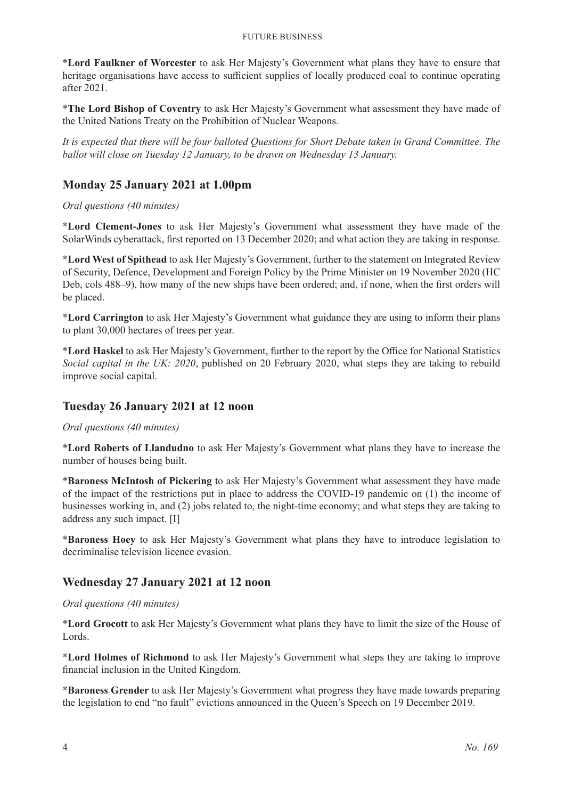\***Lord Faulkner of Worcester** to ask Her Majesty's Government what plans they have to ensure that heritage organisations have access to sufficient supplies of locally produced coal to continue operating after 2021.

\***The Lord Bishop of Coventry** to ask Her Majesty's Government what assessment they have made of the United Nations Treaty on the Prohibition of Nuclear Weapons.

*It is expected that there will be four balloted Questions for Short Debate taken in Grand Committee. The ballot will close on Tuesday 12 January, to be drawn on Wednesday 13 January.*

# **Monday 25 January 2021 at 1.00pm**

#### *Oral questions (40 minutes)*

\***Lord Clement-Jones** to ask Her Majesty's Government what assessment they have made of the SolarWinds cyberattack, first reported on 13 December 2020; and what action they are taking in response.

\***Lord West of Spithead** to ask Her Majesty's Government, further to the statement on Integrated Review of Security, Defence, Development and Foreign Policy by the Prime Minister on 19 November 2020 (HC Deb, cols 488–9), how many of the new ships have been ordered; and, if none, when the first orders will be placed.

\***Lord Carrington** to ask Her Majesty's Government what guidance they are using to inform their plans to plant 30,000 hectares of trees per year.

\***Lord Haskel** to ask Her Majesty's Government, further to the report by the Office for National Statistics *Social capital in the UK: 2020*, published on 20 February 2020, what steps they are taking to rebuild improve social capital.

#### **Tuesday 26 January 2021 at 12 noon**

*Oral questions (40 minutes)*

\***Lord Roberts of Llandudno** to ask Her Majesty's Government what plans they have to increase the number of houses being built.

\***Baroness McIntosh of Pickering** to ask Her Majesty's Government what assessment they have made of the impact of the restrictions put in place to address the COVID-19 pandemic on (1) the income of businesses working in, and (2) jobs related to, the night-time economy; and what steps they are taking to address any such impact. [I]

\***Baroness Hoey** to ask Her Majesty's Government what plans they have to introduce legislation to decriminalise television licence evasion.

# **Wednesday 27 January 2021 at 12 noon**

#### *Oral questions (40 minutes)*

\***Lord Grocott** to ask Her Majesty's Government what plans they have to limit the size of the House of Lords.

\***Lord Holmes of Richmond** to ask Her Majesty's Government what steps they are taking to improve financial inclusion in the United Kingdom.

\***Baroness Grender** to ask Her Majesty's Government what progress they have made towards preparing the legislation to end "no fault" evictions announced in the Queen's Speech on 19 December 2019.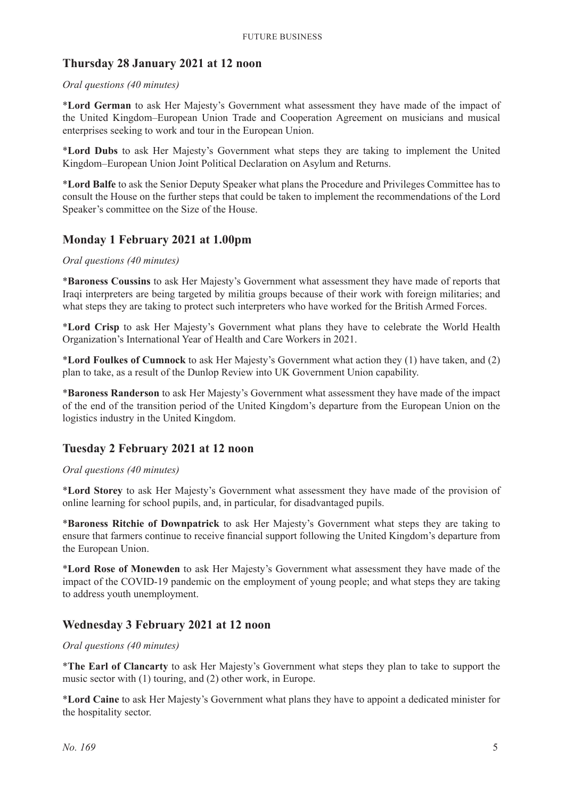#### **Thursday 28 January 2021 at 12 noon**

#### *Oral questions (40 minutes)*

\***Lord German** to ask Her Majesty's Government what assessment they have made of the impact of the United Kingdom–European Union Trade and Cooperation Agreement on musicians and musical enterprises seeking to work and tour in the European Union.

\***Lord Dubs** to ask Her Majesty's Government what steps they are taking to implement the United Kingdom–European Union Joint Political Declaration on Asylum and Returns.

\***Lord Balfe** to ask the Senior Deputy Speaker what plans the Procedure and Privileges Committee has to consult the House on the further steps that could be taken to implement the recommendations of the Lord Speaker's committee on the Size of the House.

#### **Monday 1 February 2021 at 1.00pm**

#### *Oral questions (40 minutes)*

\***Baroness Coussins** to ask Her Majesty's Government what assessment they have made of reports that Iraqi interpreters are being targeted by militia groups because of their work with foreign militaries; and what steps they are taking to protect such interpreters who have worked for the British Armed Forces.

\***Lord Crisp** to ask Her Majesty's Government what plans they have to celebrate the World Health Organization's International Year of Health and Care Workers in 2021.

\***Lord Foulkes of Cumnock** to ask Her Majesty's Government what action they (1) have taken, and (2) plan to take, as a result of the Dunlop Review into UK Government Union capability.

\***Baroness Randerson** to ask Her Majesty's Government what assessment they have made of the impact of the end of the transition period of the United Kingdom's departure from the European Union on the logistics industry in the United Kingdom.

#### **Tuesday 2 February 2021 at 12 noon**

#### *Oral questions (40 minutes)*

\***Lord Storey** to ask Her Majesty's Government what assessment they have made of the provision of online learning for school pupils, and, in particular, for disadvantaged pupils.

\***Baroness Ritchie of Downpatrick** to ask Her Majesty's Government what steps they are taking to ensure that farmers continue to receive financial support following the United Kingdom's departure from the European Union.

\***Lord Rose of Monewden** to ask Her Majesty's Government what assessment they have made of the impact of the COVID-19 pandemic on the employment of young people; and what steps they are taking to address youth unemployment.

#### **Wednesday 3 February 2021 at 12 noon**

#### *Oral questions (40 minutes)*

\***The Earl of Clancarty** to ask Her Majesty's Government what steps they plan to take to support the music sector with (1) touring, and (2) other work, in Europe.

\***Lord Caine** to ask Her Majesty's Government what plans they have to appoint a dedicated minister for the hospitality sector.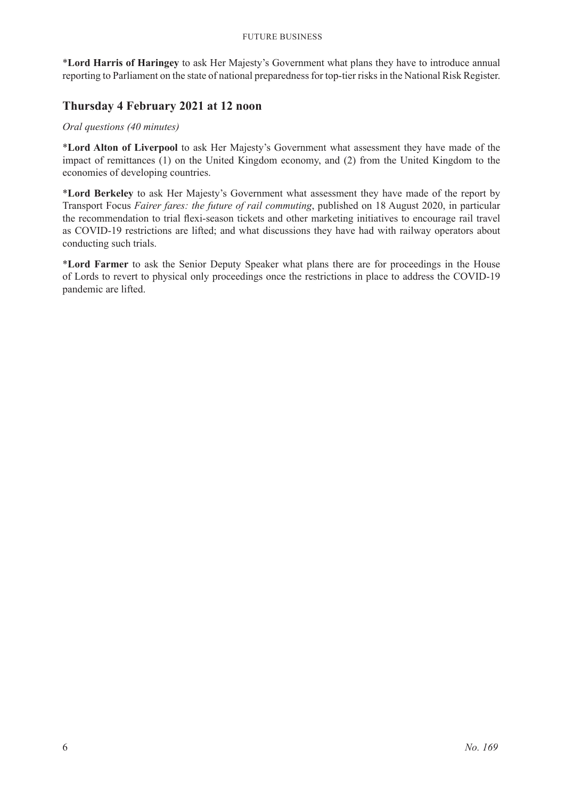\***Lord Harris of Haringey** to ask Her Majesty's Government what plans they have to introduce annual reporting to Parliament on the state of national preparedness for top-tier risks in the National Risk Register.

# **Thursday 4 February 2021 at 12 noon**

#### *Oral questions (40 minutes)*

\***Lord Alton of Liverpool** to ask Her Majesty's Government what assessment they have made of the impact of remittances (1) on the United Kingdom economy, and (2) from the United Kingdom to the economies of developing countries.

\***Lord Berkeley** to ask Her Majesty's Government what assessment they have made of the report by Transport Focus *Fairer fares: the future of rail commuting*, published on 18 August 2020, in particular the recommendation to trial flexi-season tickets and other marketing initiatives to encourage rail travel as COVID-19 restrictions are lifted; and what discussions they have had with railway operators about conducting such trials.

\***Lord Farmer** to ask the Senior Deputy Speaker what plans there are for proceedings in the House of Lords to revert to physical only proceedings once the restrictions in place to address the COVID-19 pandemic are lifted.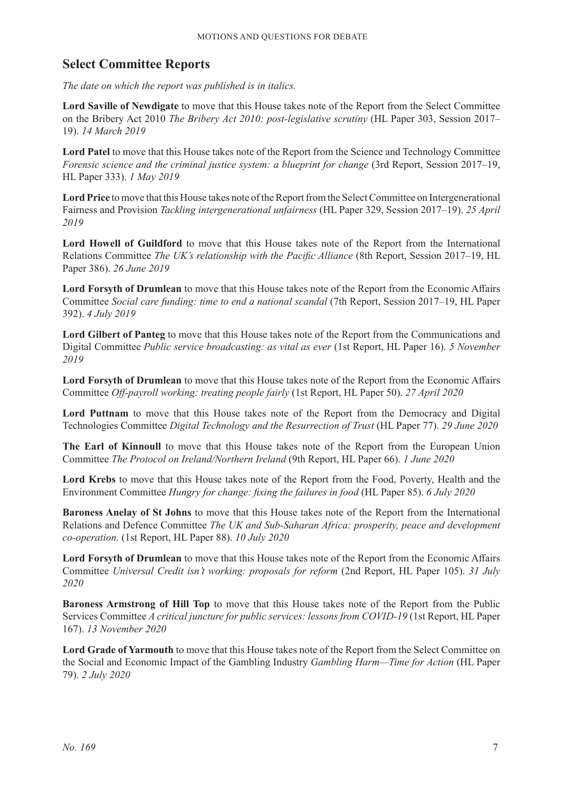# **Select Committee Reports**

*The date on which the report was published is in italics.*

**Lord Saville of Newdigate** to move that this House takes note of the Report from the Select Committee on the Bribery Act 2010 *The Bribery Act 2010: post-legislative scrutiny* (HL Paper 303, Session 2017– 19). *14 March 2019*

**Lord Patel** to move that this House takes note of the Report from the Science and Technology Committee *Forensic science and the criminal justice system: a blueprint for change* (3rd Report, Session 2017–19, HL Paper 333). *1 May 2019*

**Lord Price** to move that this House takes note of the Report from the Select Committee on Intergenerational Fairness and Provision *Tackling intergenerational unfairness* (HL Paper 329, Session 2017–19). *25 April 2019*

**Lord Howell of Guildford** to move that this House takes note of the Report from the International Relations Committee *The UK's relationship with the Pacific Alliance* (8th Report, Session 2017–19, HL Paper 386). *26 June 2019*

**Lord Forsyth of Drumlean** to move that this House takes note of the Report from the Economic Affairs Committee *Social care funding: time to end a national scandal* (7th Report, Session 2017–19, HL Paper 392). *4 July 2019*

**Lord Gilbert of Panteg** to move that this House takes note of the Report from the Communications and Digital Committee *Public service broadcasting: as vital as ever* (1st Report, HL Paper 16). *5 November 2019*

**Lord Forsyth of Drumlean** to move that this House takes note of the Report from the Economic Affairs Committee *Off-payroll working: treating people fairly* (1st Report, HL Paper 50). *27 April 2020*

**Lord Puttnam** to move that this House takes note of the Report from the Democracy and Digital Technologies Committee *Digital Technology and the Resurrection of Trust* (HL Paper 77). *29 June 2020*

**The Earl of Kinnoull** to move that this House takes note of the Report from the European Union Committee *The Protocol on Ireland/Northern Ireland* (9th Report, HL Paper 66). *1 June 2020*

**Lord Krebs** to move that this House takes note of the Report from the Food, Poverty, Health and the Environment Committee *Hungry for change: fixing the failures in food* (HL Paper 85). *6 July 2020*

**Baroness Anelay of St Johns** to move that this House takes note of the Report from the International Relations and Defence Committee *The UK and Sub-Saharan Africa: prosperity, peace and development co-operation.* (1st Report, HL Paper 88). *10 July 2020*

**Lord Forsyth of Drumlean** to move that this House takes note of the Report from the Economic Affairs Committee *Universal Credit isn't working: proposals for reform* (2nd Report, HL Paper 105). *31 July 2020*

**Baroness Armstrong of Hill Top** to move that this House takes note of the Report from the Public Services Committee *A critical juncture for public services: lessons from COVID-19* (1st Report, HL Paper 167). *13 November 2020*

**Lord Grade of Yarmouth** to move that this House takes note of the Report from the Select Committee on the Social and Economic Impact of the Gambling Industry *Gambling Harm—Time for Action* (HL Paper 79). *2 July 2020*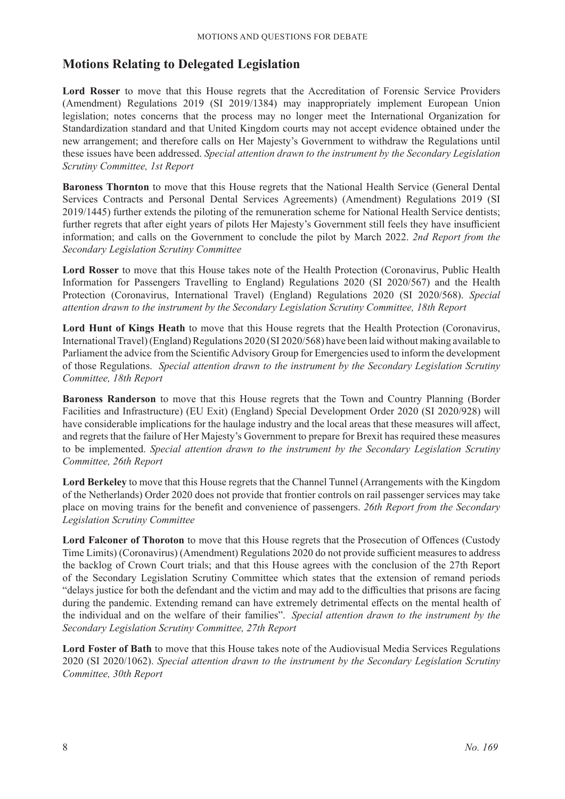# **Motions Relating to Delegated Legislation**

**Lord Rosser** to move that this House regrets that the Accreditation of Forensic Service Providers (Amendment) Regulations 2019 (SI 2019/1384) may inappropriately implement European Union legislation; notes concerns that the process may no longer meet the International Organization for Standardization standard and that United Kingdom courts may not accept evidence obtained under the new arrangement; and therefore calls on Her Majesty's Government to withdraw the Regulations until these issues have been addressed. *Special attention drawn to the instrument by the Secondary Legislation Scrutiny Committee, 1st Report*

**Baroness Thornton** to move that this House regrets that the National Health Service (General Dental Services Contracts and Personal Dental Services Agreements) (Amendment) Regulations 2019 (SI 2019/1445) further extends the piloting of the remuneration scheme for National Health Service dentists; further regrets that after eight years of pilots Her Majesty's Government still feels they have insufficient information; and calls on the Government to conclude the pilot by March 2022. *2nd Report from the Secondary Legislation Scrutiny Committee*

**Lord Rosser** to move that this House takes note of the Health Protection (Coronavirus, Public Health Information for Passengers Travelling to England) Regulations 2020 (SI 2020/567) and the Health Protection (Coronavirus, International Travel) (England) Regulations 2020 (SI 2020/568). *Special attention drawn to the instrument by the Secondary Legislation Scrutiny Committee, 18th Report*

Lord Hunt of Kings Heath to move that this House regrets that the Health Protection (Coronavirus, International Travel) (England) Regulations 2020 (SI 2020/568) have been laid without making available to Parliament the advice from the Scientific Advisory Group for Emergencies used to inform the development of those Regulations. *Special attention drawn to the instrument by the Secondary Legislation Scrutiny Committee, 18th Report*

**Baroness Randerson** to move that this House regrets that the Town and Country Planning (Border Facilities and Infrastructure) (EU Exit) (England) Special Development Order 2020 (SI 2020/928) will have considerable implications for the haulage industry and the local areas that these measures will affect, and regrets that the failure of Her Majesty's Government to prepare for Brexit has required these measures to be implemented. *Special attention drawn to the instrument by the Secondary Legislation Scrutiny Committee, 26th Report*

**Lord Berkeley** to move that this House regrets that the Channel Tunnel (Arrangements with the Kingdom of the Netherlands) Order 2020 does not provide that frontier controls on rail passenger services may take place on moving trains for the benefit and convenience of passengers. *26th Report from the Secondary Legislation Scrutiny Committee*

**Lord Falconer of Thoroton** to move that this House regrets that the Prosecution of Offences (Custody Time Limits) (Coronavirus) (Amendment) Regulations 2020 do not provide sufficient measures to address the backlog of Crown Court trials; and that this House agrees with the conclusion of the 27th Report of the Secondary Legislation Scrutiny Committee which states that the extension of remand periods "delays justice for both the defendant and the victim and may add to the difficulties that prisons are facing during the pandemic. Extending remand can have extremely detrimental effects on the mental health of the individual and on the welfare of their families". *Special attention drawn to the instrument by the Secondary Legislation Scrutiny Committee, 27th Report*

**Lord Foster of Bath** to move that this House takes note of the Audiovisual Media Services Regulations 2020 (SI 2020/1062). *Special attention drawn to the instrument by the Secondary Legislation Scrutiny Committee, 30th Report*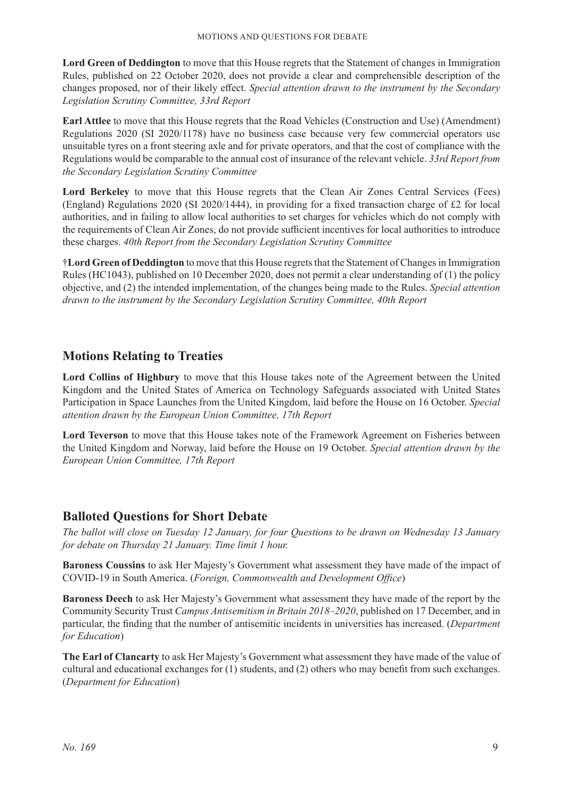**Lord Green of Deddington** to move that this House regrets that the Statement of changes in Immigration Rules, published on 22 October 2020, does not provide a clear and comprehensible description of the changes proposed, nor of their likely effect. *Special attention drawn to the instrument by the Secondary Legislation Scrutiny Committee, 33rd Report*

**Earl Attlee** to move that this House regrets that the Road Vehicles (Construction and Use) (Amendment) Regulations 2020 (SI 2020/1178) have no business case because very few commercial operators use unsuitable tyres on a front steering axle and for private operators, and that the cost of compliance with the Regulations would be comparable to the annual cost of insurance of the relevant vehicle. *33rd Report from the Secondary Legislation Scrutiny Committee*

**Lord Berkeley** to move that this House regrets that the Clean Air Zones Central Services (Fees) (England) Regulations 2020 (SI 2020/1444), in providing for a fixed transaction charge of £2 for local authorities, and in failing to allow local authorities to set charges for vehicles which do not comply with the requirements of Clean Air Zones, do not provide sufficient incentives for local authorities to introduce these charges. *40th Report from the Secondary Legislation Scrutiny Committee*

†**Lord Green of Deddington** to move that this House regrets that the Statement of Changes in Immigration Rules (HC1043), published on 10 December 2020, does not permit a clear understanding of (1) the policy objective, and (2) the intended implementation, of the changes being made to the Rules. *Special attention drawn to the instrument by the Secondary Legislation Scrutiny Committee, 40th Report*

# **Motions Relating to Treaties**

**Lord Collins of Highbury** to move that this House takes note of the Agreement between the United Kingdom and the United States of America on Technology Safeguards associated with United States Participation in Space Launches from the United Kingdom, laid before the House on 16 October. *Special attention drawn by the European Union Committee, 17th Report*

**Lord Teverson** to move that this House takes note of the Framework Agreement on Fisheries between the United Kingdom and Norway, laid before the House on 19 October. *Special attention drawn by the European Union Committee, 17th Report*

# **Balloted Questions for Short Debate**

*The ballot will close on Tuesday 12 January, for four Questions to be drawn on Wednesday 13 January for debate on Thursday 21 January. Time limit 1 hour.*

**Baroness Coussins** to ask Her Majesty's Government what assessment they have made of the impact of COVID-19 in South America. (*Foreign, Commonwealth and Development Office*)

**Baroness Deech** to ask Her Majesty's Government what assessment they have made of the report by the Community Security Trust *Campus Antisemitism in Britain 2018–2020*, published on 17 December, and in particular, the finding that the number of antisemitic incidents in universities has increased. (*Department for Education*)

**The Earl of Clancarty** to ask Her Majesty's Government what assessment they have made of the value of cultural and educational exchanges for (1) students, and (2) others who may benefit from such exchanges. (*Department for Education*)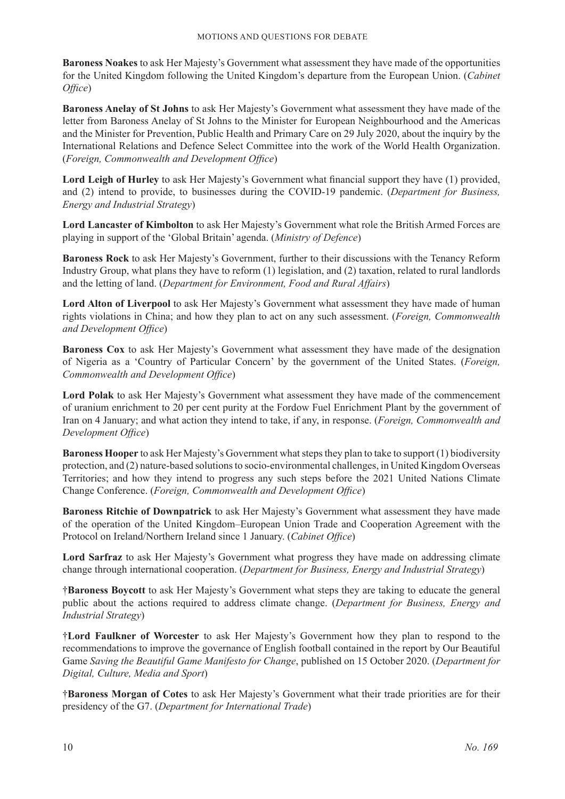**Baroness Noakes** to ask Her Majesty's Government what assessment they have made of the opportunities for the United Kingdom following the United Kingdom's departure from the European Union. (*Cabinet Office*)

**Baroness Anelay of St Johns** to ask Her Majesty's Government what assessment they have made of the letter from Baroness Anelay of St Johns to the Minister for European Neighbourhood and the Americas and the Minister for Prevention, Public Health and Primary Care on 29 July 2020, about the inquiry by the International Relations and Defence Select Committee into the work of the World Health Organization. (*Foreign, Commonwealth and Development Office*)

**Lord Leigh of Hurley** to ask Her Majesty's Government what financial support they have (1) provided, and (2) intend to provide, to businesses during the COVID-19 pandemic. (*Department for Business, Energy and Industrial Strategy*)

**Lord Lancaster of Kimbolton** to ask Her Majesty's Government what role the British Armed Forces are playing in support of the 'Global Britain' agenda. (*Ministry of Defence*)

**Baroness Rock** to ask Her Majesty's Government, further to their discussions with the Tenancy Reform Industry Group, what plans they have to reform (1) legislation, and (2) taxation, related to rural landlords and the letting of land. (*Department for Environment, Food and Rural Affairs*)

**Lord Alton of Liverpool** to ask Her Majesty's Government what assessment they have made of human rights violations in China; and how they plan to act on any such assessment. (*Foreign, Commonwealth and Development Office*)

**Baroness Cox** to ask Her Majesty's Government what assessment they have made of the designation of Nigeria as a 'Country of Particular Concern' by the government of the United States. (*Foreign, Commonwealth and Development Office*)

**Lord Polak** to ask Her Majesty's Government what assessment they have made of the commencement of uranium enrichment to 20 per cent purity at the Fordow Fuel Enrichment Plant by the government of Iran on 4 January; and what action they intend to take, if any, in response. (*Foreign, Commonwealth and Development Office*)

**Baroness Hooper** to ask Her Majesty's Government what steps they plan to take to support (1) biodiversity protection, and (2) nature-based solutions to socio-environmental challenges, in United Kingdom Overseas Territories; and how they intend to progress any such steps before the 2021 United Nations Climate Change Conference. (*Foreign, Commonwealth and Development Office*)

**Baroness Ritchie of Downpatrick** to ask Her Majesty's Government what assessment they have made of the operation of the United Kingdom–European Union Trade and Cooperation Agreement with the Protocol on Ireland/Northern Ireland since 1 January. (*Cabinet Office*)

**Lord Sarfraz** to ask Her Majesty's Government what progress they have made on addressing climate change through international cooperation. (*Department for Business, Energy and Industrial Strategy*)

†**Baroness Boycott** to ask Her Majesty's Government what steps they are taking to educate the general public about the actions required to address climate change. (*Department for Business, Energy and Industrial Strategy*)

†**Lord Faulkner of Worcester** to ask Her Majesty's Government how they plan to respond to the recommendations to improve the governance of English football contained in the report by Our Beautiful Game *Saving the Beautiful Game Manifesto for Change*, published on 15 October 2020. (*Department for Digital, Culture, Media and Sport*)

†**Baroness Morgan of Cotes** to ask Her Majesty's Government what their trade priorities are for their presidency of the G7. (*Department for International Trade*)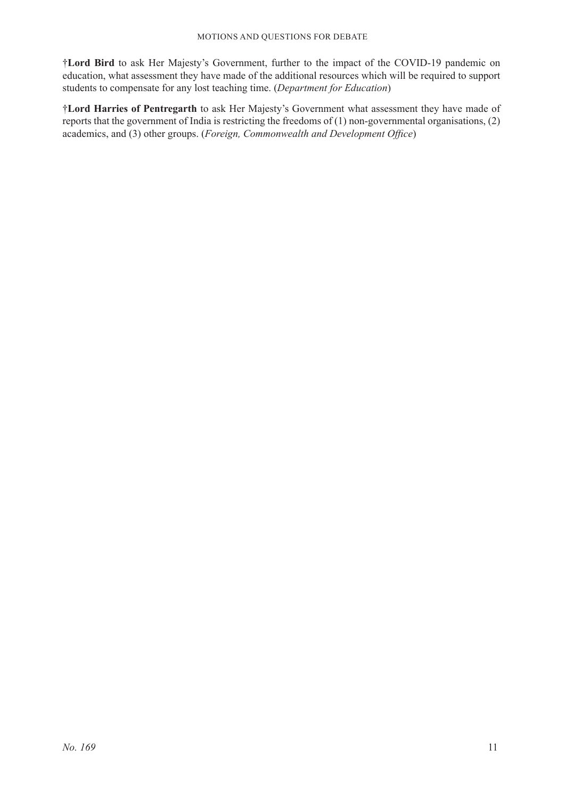†**Lord Bird** to ask Her Majesty's Government, further to the impact of the COVID-19 pandemic on education, what assessment they have made of the additional resources which will be required to support students to compensate for any lost teaching time. (*Department for Education*)

†**Lord Harries of Pentregarth** to ask Her Majesty's Government what assessment they have made of reports that the government of India is restricting the freedoms of (1) non-governmental organisations, (2) academics, and (3) other groups. (*Foreign, Commonwealth and Development Office*)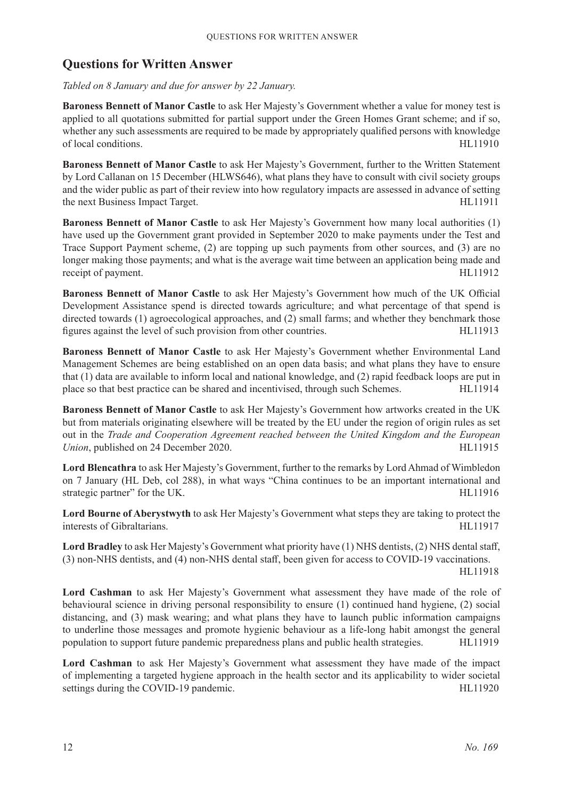# **Questions for Written Answer**

*Tabled on 8 January and due for answer by 22 January.*

**Baroness Bennett of Manor Castle** to ask Her Majesty's Government whether a value for money test is applied to all quotations submitted for partial support under the Green Homes Grant scheme; and if so, whether any such assessments are required to be made by appropriately qualified persons with knowledge of local conditions. HL11910

**Baroness Bennett of Manor Castle** to ask Her Majesty's Government, further to the Written Statement by Lord Callanan on 15 December (HLWS646), what plans they have to consult with civil society groups and the wider public as part of their review into how regulatory impacts are assessed in advance of setting the next Business Impact Target. HL11911

**Baroness Bennett of Manor Castle** to ask Her Majesty's Government how many local authorities (1) have used up the Government grant provided in September 2020 to make payments under the Test and Trace Support Payment scheme, (2) are topping up such payments from other sources, and (3) are no longer making those payments; and what is the average wait time between an application being made and receipt of payment. HL11912

**Baroness Bennett of Manor Castle** to ask Her Majesty's Government how much of the UK Official Development Assistance spend is directed towards agriculture; and what percentage of that spend is directed towards (1) agroecological approaches, and (2) small farms; and whether they benchmark those figures against the level of such provision from other countries. HL11913

**Baroness Bennett of Manor Castle** to ask Her Majesty's Government whether Environmental Land Management Schemes are being established on an open data basis; and what plans they have to ensure that (1) data are available to inform local and national knowledge, and (2) rapid feedback loops are put in place so that best practice can be shared and incentivised, through such Schemes. HL11914

**Baroness Bennett of Manor Castle** to ask Her Majesty's Government how artworks created in the UK but from materials originating elsewhere will be treated by the EU under the region of origin rules as set out in the *Trade and Cooperation Agreement reached between the United Kingdom and the European Union*, published on 24 December 2020. HL11915

**Lord Blencathra** to ask Her Majesty's Government, further to the remarks by Lord Ahmad of Wimbledon on 7 January (HL Deb, col 288), in what ways "China continues to be an important international and strategic partner" for the UK. HL11916

**Lord Bourne of Aberystwyth** to ask Her Majesty's Government what steps they are taking to protect the interests of Gibraltarians. HL11917

**Lord Bradley** to ask Her Majesty's Government what priority have (1) NHS dentists, (2) NHS dental staff, (3) non-NHS dentists, and (4) non-NHS dental staff, been given for access to COVID-19 vaccinations.

HL11918

**Lord Cashman** to ask Her Majesty's Government what assessment they have made of the role of behavioural science in driving personal responsibility to ensure (1) continued hand hygiene, (2) social distancing, and (3) mask wearing; and what plans they have to launch public information campaigns to underline those messages and promote hygienic behaviour as a life-long habit amongst the general population to support future pandemic preparedness plans and public health strategies. HL11919

**Lord Cashman** to ask Her Majesty's Government what assessment they have made of the impact of implementing a targeted hygiene approach in the health sector and its applicability to wider societal settings during the COVID-19 pandemic. HL11920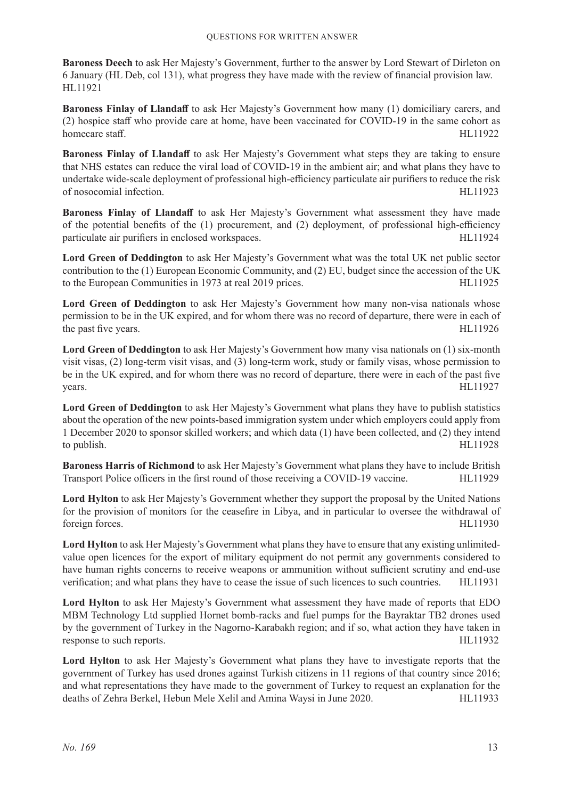**Baroness Deech** to ask Her Majesty's Government, further to the answer by Lord Stewart of Dirleton on 6 January (HL Deb, col 131), what progress they have made with the review of financial provision law. HL11921

**Baroness Finlay of Llandaff** to ask Her Majesty's Government how many (1) domiciliary carers, and (2) hospice staff who provide care at home, have been vaccinated for COVID-19 in the same cohort as homecare staff. HL11922

**Baroness Finlay of Llandaff** to ask Her Majesty's Government what steps they are taking to ensure that NHS estates can reduce the viral load of COVID-19 in the ambient air; and what plans they have to undertake wide-scale deployment of professional high-efficiency particulate air purifiers to reduce the risk of nosocomial infection. HL11923

**Baroness Finlay of Llandaff** to ask Her Majesty's Government what assessment they have made of the potential benefits of the (1) procurement, and (2) deployment, of professional high-efficiency particulate air purifiers in enclosed workspaces. The entry-set of the HL11924

**Lord Green of Deddington** to ask Her Majesty's Government what was the total UK net public sector contribution to the (1) European Economic Community, and (2) EU, budget since the accession of the UK to the European Communities in 1973 at real 2019 prices. HL11925

Lord Green of Deddington to ask Her Majesty's Government how many non-visa nationals whose permission to be in the UK expired, and for whom there was no record of departure, there were in each of the past five years. HL11926

**Lord Green of Deddington** to ask Her Majesty's Government how many visa nationals on (1) six-month visit visas, (2) long-term visit visas, and (3) long-term work, study or family visas, whose permission to be in the UK expired, and for whom there was no record of departure, there were in each of the past five years. HL11927

**Lord Green of Deddington** to ask Her Majesty's Government what plans they have to publish statistics about the operation of the new points-based immigration system under which employers could apply from 1 December 2020 to sponsor skilled workers; and which data (1) have been collected, and (2) they intend to publish. HL11928

**Baroness Harris of Richmond** to ask Her Majesty's Government what plans they have to include British Transport Police officers in the first round of those receiving a COVID-19 vaccine. HL11929

**Lord Hylton** to ask Her Majesty's Government whether they support the proposal by the United Nations for the provision of monitors for the ceasefire in Libya, and in particular to oversee the withdrawal of foreign forces. HL11930

**Lord Hylton** to ask Her Majesty's Government what plans they have to ensure that any existing unlimitedvalue open licences for the export of military equipment do not permit any governments considered to have human rights concerns to receive weapons or ammunition without sufficient scrutiny and end-use verification; and what plans they have to cease the issue of such licences to such countries. HL11931

**Lord Hylton** to ask Her Majesty's Government what assessment they have made of reports that EDO MBM Technology Ltd supplied Hornet bomb-racks and fuel pumps for the Bayraktar TB2 drones used by the government of Turkey in the Nagorno-Karabakh region; and if so, what action they have taken in response to such reports. HL11932

**Lord Hylton** to ask Her Majesty's Government what plans they have to investigate reports that the government of Turkey has used drones against Turkish citizens in 11 regions of that country since 2016; and what representations they have made to the government of Turkey to request an explanation for the deaths of Zehra Berkel, Hebun Mele Xelil and Amina Waysi in June 2020. HL11933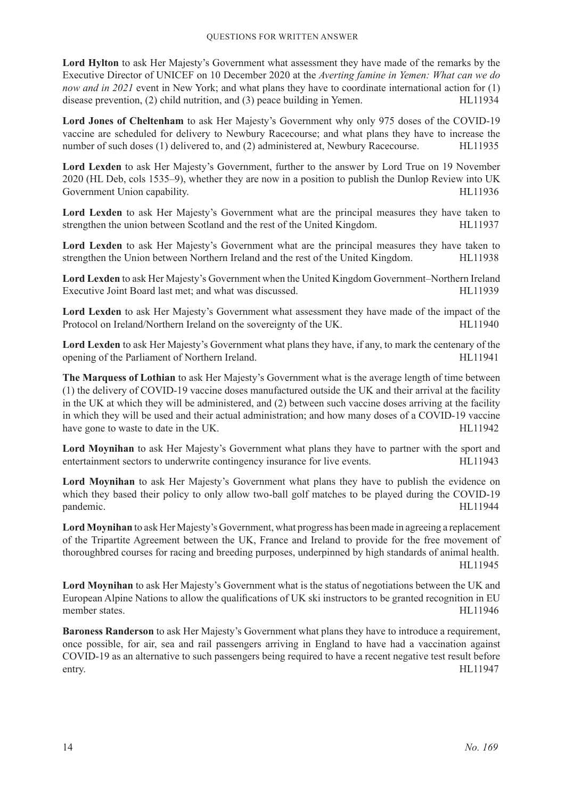**Lord Hylton** to ask Her Majesty's Government what assessment they have made of the remarks by the Executive Director of UNICEF on 10 December 2020 at the *Averting famine in Yemen: What can we do now and in 2021* event in New York; and what plans they have to coordinate international action for (1) disease prevention, (2) child nutrition, and (3) peace building in Yemen. HL11934

**Lord Jones of Cheltenham** to ask Her Majesty's Government why only 975 doses of the COVID-19 vaccine are scheduled for delivery to Newbury Racecourse; and what plans they have to increase the number of such doses (1) delivered to, and (2) administered at, Newbury Racecourse. HL11935

**Lord Lexden** to ask Her Majesty's Government, further to the answer by Lord True on 19 November 2020 (HL Deb, cols 1535–9), whether they are now in a position to publish the Dunlop Review into UK Government Union capability. The state of the state of the state of the HL11936 Sovernment Union capability.

**Lord Lexden** to ask Her Majesty's Government what are the principal measures they have taken to strengthen the union between Scotland and the rest of the United Kingdom. HL11937

**Lord Lexden** to ask Her Majesty's Government what are the principal measures they have taken to strengthen the Union between Northern Ireland and the rest of the United Kingdom. HL11938

**Lord Lexden** to ask Her Majesty's Government when the United Kingdom Government–Northern Ireland Executive Joint Board last met; and what was discussed. HL11939

**Lord Lexden** to ask Her Majesty's Government what assessment they have made of the impact of the Protocol on Ireland/Northern Ireland on the sovereignty of the UK. HL11940

**Lord Lexden** to ask Her Majesty's Government what plans they have, if any, to mark the centenary of the opening of the Parliament of Northern Ireland. HL11941

**The Marquess of Lothian** to ask Her Majesty's Government what is the average length of time between (1) the delivery of COVID-19 vaccine doses manufactured outside the UK and their arrival at the facility in the UK at which they will be administered, and (2) between such vaccine doses arriving at the facility in which they will be used and their actual administration; and how many doses of a COVID-19 vaccine have gone to waste to date in the UK. HL11942

**Lord Moynihan** to ask Her Majesty's Government what plans they have to partner with the sport and entertainment sectors to underwrite contingency insurance for live events. HL11943

**Lord Moynihan** to ask Her Majesty's Government what plans they have to publish the evidence on which they based their policy to only allow two-ball golf matches to be played during the COVID-19 pandemic. HL11944

**Lord Moynihan** to ask Her Majesty's Government, what progress has been made in agreeing a replacement of the Tripartite Agreement between the UK, France and Ireland to provide for the free movement of thoroughbred courses for racing and breeding purposes, underpinned by high standards of animal health. HL11945

**Lord Moynihan** to ask Her Majesty's Government what is the status of negotiations between the UK and European Alpine Nations to allow the qualifications of UK ski instructors to be granted recognition in EU member states. HL11946

**Baroness Randerson** to ask Her Majesty's Government what plans they have to introduce a requirement, once possible, for air, sea and rail passengers arriving in England to have had a vaccination against COVID-19 as an alternative to such passengers being required to have a recent negative test result before entry. HL11947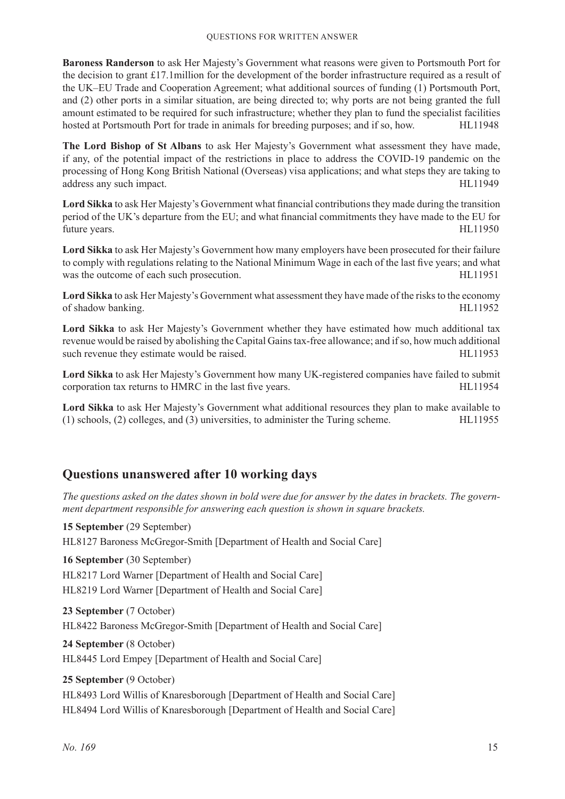**Baroness Randerson** to ask Her Majesty's Government what reasons were given to Portsmouth Port for the decision to grant £17.1million for the development of the border infrastructure required as a result of the UK–EU Trade and Cooperation Agreement; what additional sources of funding (1) Portsmouth Port, and (2) other ports in a similar situation, are being directed to; why ports are not being granted the full amount estimated to be required for such infrastructure; whether they plan to fund the specialist facilities hosted at Portsmouth Port for trade in animals for breeding purposes; and if so, how. HL11948

**The Lord Bishop of St Albans** to ask Her Majesty's Government what assessment they have made, if any, of the potential impact of the restrictions in place to address the COVID-19 pandemic on the processing of Hong Kong British National (Overseas) visa applications; and what steps they are taking to address any such impact. HL11949

**Lord Sikka** to ask Her Majesty's Government what financial contributions they made during the transition period of the UK's departure from the EU; and what financial commitments they have made to the EU for future years. HL11950

**Lord Sikka** to ask Her Majesty's Government how many employers have been prosecuted for their failure to comply with regulations relating to the National Minimum Wage in each of the last five years; and what was the outcome of each such prosecution. HL11951

**Lord Sikka** to ask Her Majesty's Government what assessment they have made of the risks to the economy of shadow banking. HL11952

**Lord Sikka** to ask Her Majesty's Government whether they have estimated how much additional tax revenue would be raised by abolishing the Capital Gains tax-free allowance; and if so, how much additional such revenue they estimate would be raised. HL11953

**Lord Sikka** to ask Her Majesty's Government how many UK-registered companies have failed to submit corporation tax returns to HMRC in the last five years. HL11954

**Lord Sikka** to ask Her Majesty's Government what additional resources they plan to make available to (1) schools, (2) colleges, and (3) universities, to administer the Turing scheme. HL11955

# **Questions unanswered after 10 working days**

*The questions asked on the dates shown in bold were due for answer by the dates in brackets. The government department responsible for answering each question is shown in square brackets.*

**15 September** (29 September) HL8127 Baroness McGregor-Smith [Department of Health and Social Care] **16 September** (30 September) HL8217 Lord Warner [Department of Health and Social Care] HL8219 Lord Warner [Department of Health and Social Care] **23 September** (7 October) HL8422 Baroness McGregor-Smith [Department of Health and Social Care] **24 September** (8 October) HL8445 Lord Empey [Department of Health and Social Care]

**25 September** (9 October) HL8493 Lord Willis of Knaresborough [Department of Health and Social Care] HL8494 Lord Willis of Knaresborough [Department of Health and Social Care]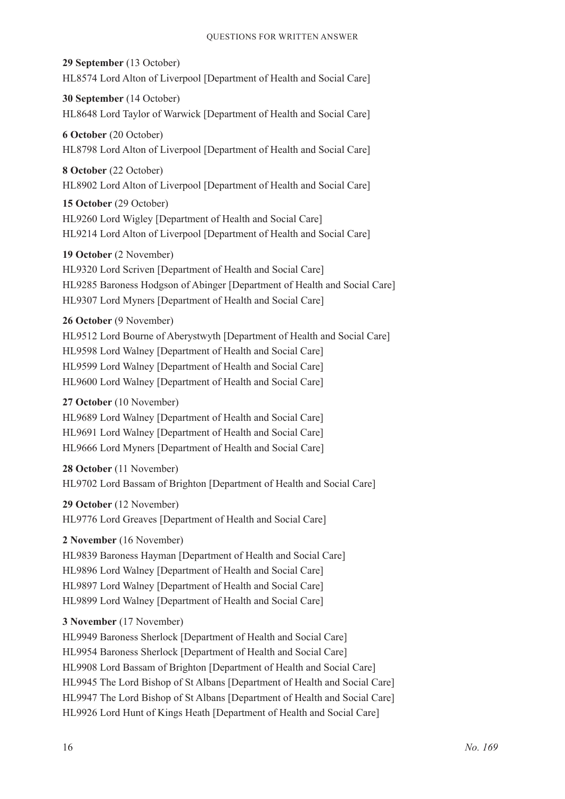**29 September** (13 October) HL8574 Lord Alton of Liverpool [Department of Health and Social Care]

**30 September** (14 October) HL8648 Lord Taylor of Warwick [Department of Health and Social Care]

**6 October** (20 October) HL8798 Lord Alton of Liverpool [Department of Health and Social Care]

**8 October** (22 October) HL8902 Lord Alton of Liverpool [Department of Health and Social Care]

**15 October** (29 October) HL9260 Lord Wigley [Department of Health and Social Care] HL9214 Lord Alton of Liverpool [Department of Health and Social Care]

**19 October** (2 November) HL9320 Lord Scriven [Department of Health and Social Care] HL9285 Baroness Hodgson of Abinger [Department of Health and Social Care] HL9307 Lord Myners [Department of Health and Social Care]

**26 October** (9 November) HL9512 Lord Bourne of Aberystwyth [Department of Health and Social Care] HL9598 Lord Walney [Department of Health and Social Care] HL9599 Lord Walney [Department of Health and Social Care] HL9600 Lord Walney [Department of Health and Social Care]

#### **27 October** (10 November)

HL9689 Lord Walney [Department of Health and Social Care] HL9691 Lord Walney [Department of Health and Social Care] HL9666 Lord Myners [Department of Health and Social Care]

**28 October** (11 November) HL9702 Lord Bassam of Brighton [Department of Health and Social Care]

**29 October** (12 November) HL9776 Lord Greaves [Department of Health and Social Care]

**2 November** (16 November)

HL9839 Baroness Hayman [Department of Health and Social Care] HL9896 Lord Walney [Department of Health and Social Care] HL9897 Lord Walney [Department of Health and Social Care] HL9899 Lord Walney [Department of Health and Social Care]

# **3 November** (17 November)

HL9949 Baroness Sherlock [Department of Health and Social Care] HL9954 Baroness Sherlock [Department of Health and Social Care] HL9908 Lord Bassam of Brighton [Department of Health and Social Care] HL9945 The Lord Bishop of St Albans [Department of Health and Social Care] HL9947 The Lord Bishop of St Albans [Department of Health and Social Care] HL9926 Lord Hunt of Kings Heath [Department of Health and Social Care]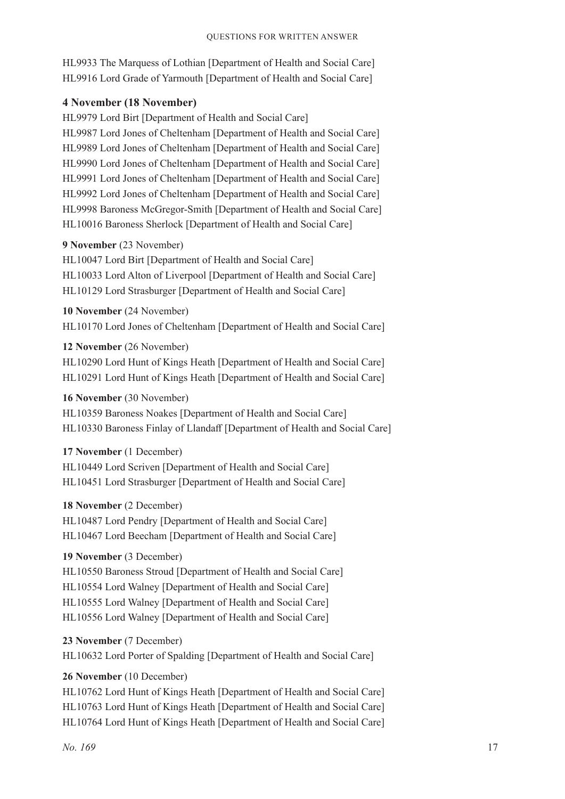HL9933 The Marquess of Lothian [Department of Health and Social Care] HL9916 Lord Grade of Yarmouth [Department of Health and Social Care]

#### **4 November (18 November)**

HL9979 Lord Birt [Department of Health and Social Care] HL9987 Lord Jones of Cheltenham [Department of Health and Social Care] HL9989 Lord Jones of Cheltenham [Department of Health and Social Care] HL9990 Lord Jones of Cheltenham [Department of Health and Social Care] HL9991 Lord Jones of Cheltenham [Department of Health and Social Care] HL9992 Lord Jones of Cheltenham [Department of Health and Social Care] HL9998 Baroness McGregor-Smith [Department of Health and Social Care] HL10016 Baroness Sherlock [Department of Health and Social Care]

#### **9 November** (23 November)

HL10047 Lord Birt [Department of Health and Social Care] HL10033 Lord Alton of Liverpool [Department of Health and Social Care] HL10129 Lord Strasburger [Department of Health and Social Care]

#### **10 November** (24 November)

HL10170 Lord Jones of Cheltenham [Department of Health and Social Care]

#### **12 November** (26 November)

HL10290 Lord Hunt of Kings Heath [Department of Health and Social Care] HL10291 Lord Hunt of Kings Heath [Department of Health and Social Care]

#### **16 November** (30 November)

HL10359 Baroness Noakes [Department of Health and Social Care] HL10330 Baroness Finlay of Llandaff [Department of Health and Social Care]

#### **17 November** (1 December)

HL10449 Lord Scriven [Department of Health and Social Care] HL10451 Lord Strasburger [Department of Health and Social Care]

#### **18 November** (2 December)

HL10487 Lord Pendry [Department of Health and Social Care] HL10467 Lord Beecham [Department of Health and Social Care]

# **19 November** (3 December)

HL10550 Baroness Stroud [Department of Health and Social Care] HL10554 Lord Walney [Department of Health and Social Care] HL10555 Lord Walney [Department of Health and Social Care] HL10556 Lord Walney [Department of Health and Social Care]

#### **23 November** (7 December)

HL10632 Lord Porter of Spalding [Department of Health and Social Care]

# **26 November** (10 December)

HL10762 Lord Hunt of Kings Heath [Department of Health and Social Care] HL10763 Lord Hunt of Kings Heath [Department of Health and Social Care] HL10764 Lord Hunt of Kings Heath [Department of Health and Social Care]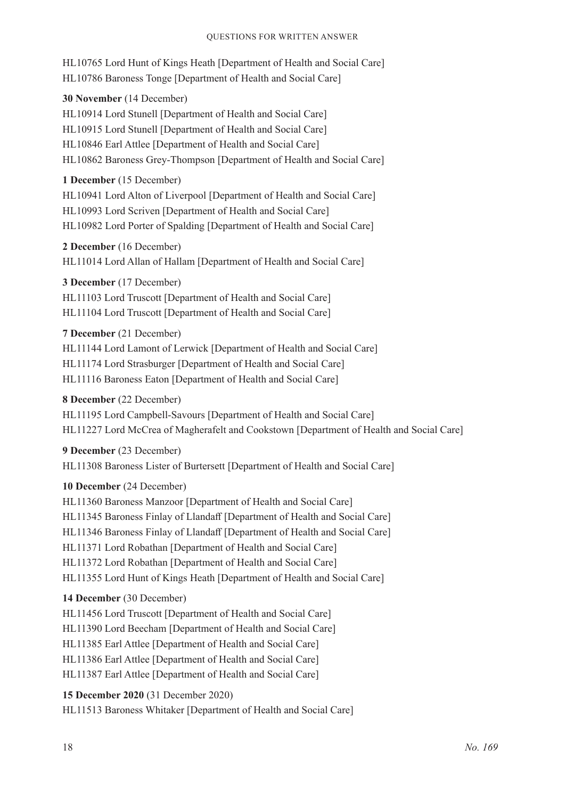HL10765 Lord Hunt of Kings Heath [Department of Health and Social Care] HL10786 Baroness Tonge [Department of Health and Social Care]

**30 November** (14 December)

HL10914 Lord Stunell [Department of Health and Social Care] HL10915 Lord Stunell [Department of Health and Social Care] HL10846 Earl Attlee [Department of Health and Social Care] HL10862 Baroness Grey-Thompson [Department of Health and Social Care]

# **1 December** (15 December)

HL10941 Lord Alton of Liverpool [Department of Health and Social Care] HL10993 Lord Scriven [Department of Health and Social Care] HL10982 Lord Porter of Spalding [Department of Health and Social Care]

# **2 December** (16 December)

HL11014 Lord Allan of Hallam [Department of Health and Social Care]

# **3 December** (17 December)

HL11103 Lord Truscott [Department of Health and Social Care] HL11104 Lord Truscott [Department of Health and Social Care]

#### **7 December** (21 December)

HL11144 Lord Lamont of Lerwick [Department of Health and Social Care] HL11174 Lord Strasburger [Department of Health and Social Care] HL11116 Baroness Eaton [Department of Health and Social Care]

#### **8 December** (22 December)

HL11195 Lord Campbell-Savours [Department of Health and Social Care] HL11227 Lord McCrea of Magherafelt and Cookstown [Department of Health and Social Care]

**9 December** (23 December) HL11308 Baroness Lister of Burtersett [Department of Health and Social Care]

# **10 December** (24 December)

HL11360 Baroness Manzoor [Department of Health and Social Care] HL11345 Baroness Finlay of Llandaff [Department of Health and Social Care] HL11346 Baroness Finlay of Llandaff [Department of Health and Social Care] HL11371 Lord Robathan [Department of Health and Social Care] HL11372 Lord Robathan [Department of Health and Social Care] HL11355 Lord Hunt of Kings Heath [Department of Health and Social Care]

# **14 December** (30 December)

HL11456 Lord Truscott [Department of Health and Social Care] HL11390 Lord Beecham [Department of Health and Social Care] HL11385 Earl Attlee [Department of Health and Social Care] HL11386 Earl Attlee [Department of Health and Social Care] HL11387 Earl Attlee [Department of Health and Social Care]

# **15 December 2020** (31 December 2020)

HL11513 Baroness Whitaker [Department of Health and Social Care]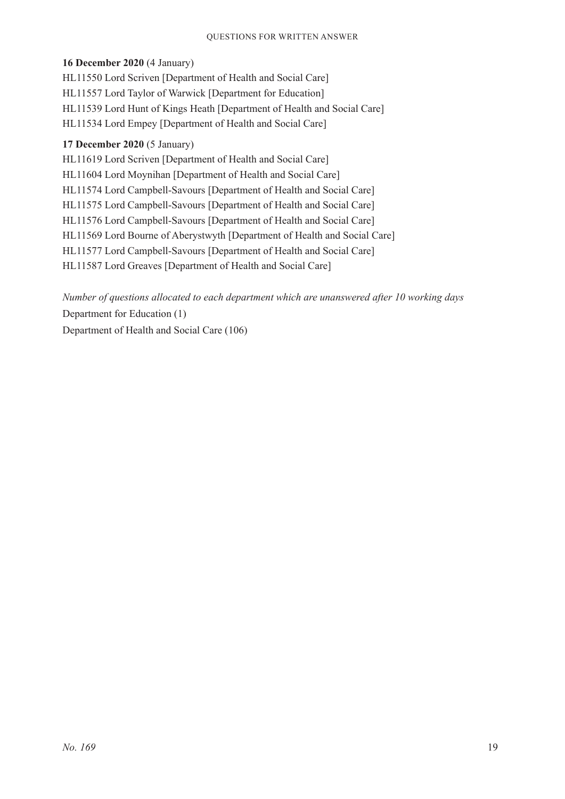#### Questions for Written Answer

#### **16 December 2020** (4 January)

HL11550 Lord Scriven [Department of Health and Social Care] HL11557 Lord Taylor of Warwick [Department for Education] HL11539 Lord Hunt of Kings Heath [Department of Health and Social Care] HL11534 Lord Empey [Department of Health and Social Care]

#### **17 December 2020** (5 January)

HL11619 Lord Scriven [Department of Health and Social Care] HL11604 Lord Moynihan [Department of Health and Social Care] HL11574 Lord Campbell-Savours [Department of Health and Social Care] HL11575 Lord Campbell-Savours [Department of Health and Social Care] HL11576 Lord Campbell-Savours [Department of Health and Social Care] HL11569 Lord Bourne of Aberystwyth [Department of Health and Social Care] HL11577 Lord Campbell-Savours [Department of Health and Social Care] HL11587 Lord Greaves [Department of Health and Social Care]

*Number of questions allocated to each department which are unanswered after 10 working days* Department for Education (1) Department of Health and Social Care (106)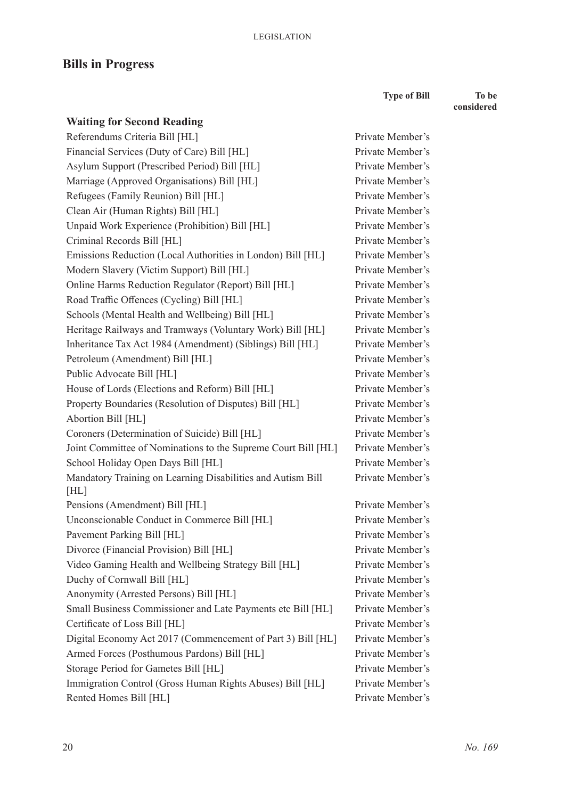# **Bills in Progress**

**Type of Bill To be** 

Private Member's Private Member's Private Member's Private Member's Private Member's Private Member's Private Member's Private Member's Private Member's Private Member's Private Member's Private Member's Private Member's Private Member's Private Member's Private Member's Private Member's Private Member's Private Member's Private Member's Private Member's Private Member's Private Member's

Private Member's

Private Member's Private Member's Private Member's Private Member's Private Member's Private Member's Private Member's Private Member's Private Member's Private Member's Private Member's Private Member's Private Member's Private Member's **considered**

| <b>Waiting for Second Reading</b>                                   |
|---------------------------------------------------------------------|
| Referendums Criteria Bill [HL]                                      |
| Financial Services (Duty of Care) Bill [HL]                         |
| Asylum Support (Prescribed Period) Bill [HL]                        |
| Marriage (Approved Organisations) Bill [HL]                         |
| Refugees (Family Reunion) Bill [HL]                                 |
| Clean Air (Human Rights) Bill [HL]                                  |
| Unpaid Work Experience (Prohibition) Bill [HL]                      |
| Criminal Records Bill [HL]                                          |
| Emissions Reduction (Local Authorities in London) Bill [HL]         |
| Modern Slavery (Victim Support) Bill [HL]                           |
| Online Harms Reduction Regulator (Report) Bill [HL]                 |
| Road Traffic Offences (Cycling) Bill [HL]                           |
| Schools (Mental Health and Wellbeing) Bill [HL]                     |
| Heritage Railways and Tramways (Voluntary Work) Bill [HL]           |
| Inheritance Tax Act 1984 (Amendment) (Siblings) Bill [HL]           |
| Petroleum (Amendment) Bill [HL]                                     |
| Public Advocate Bill [HL]                                           |
| House of Lords (Elections and Reform) Bill [HL]                     |
| Property Boundaries (Resolution of Disputes) Bill [HL]              |
| Abortion Bill [HL]                                                  |
| Coroners (Determination of Suicide) Bill [HL]                       |
| Joint Committee of Nominations to the Supreme Court Bill [HL]       |
| School Holiday Open Days Bill [HL]                                  |
| Mandatory Training on Learning Disabilities and Autism Bill<br>[HL] |
| Pensions (Amendment) Bill [HL]                                      |
| Unconscionable Conduct in Commerce Bill [HL]                        |
| Pavement Parking Bill [HL]                                          |
| Divorce (Financial Provision) Bill [HL]                             |
| Video Gaming Health and Wellbeing Strategy Bill [HL]                |
| Duchy of Cornwall Bill [HL]                                         |
| Anonymity (Arrested Persons) Bill [HL]                              |
| Small Business Commissioner and Late Payments etc Bill [HL]         |
| Certificate of Loss Bill [HL]                                       |
| Digital Economy Act 2017 (Commencement of Part 3) Bill [HL]         |
| Armed Forces (Posthumous Pardons) Bill [HL]                         |
| Storage Period for Gametes Bill [HL]                                |
| Immigration Control (Gross Human Rights Abuses) Bill [HL]           |
| Rented Homes Bill [HL]                                              |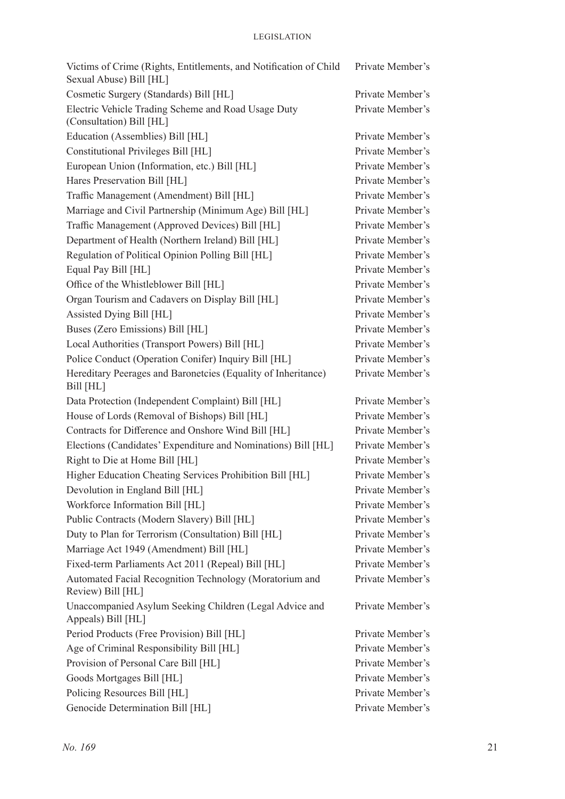| Victims of Crime (Rights, Entitlements, and Notification of Child<br>Sexual Abuse) Bill [HL] | Private Member's |
|----------------------------------------------------------------------------------------------|------------------|
| Cosmetic Surgery (Standards) Bill [HL]                                                       | Private Member's |
| Electric Vehicle Trading Scheme and Road Usage Duty<br>(Consultation) Bill [HL]              | Private Member's |
| Education (Assemblies) Bill [HL]                                                             | Private Member's |
| Constitutional Privileges Bill [HL]                                                          | Private Member's |
| European Union (Information, etc.) Bill [HL]                                                 | Private Member's |
| Hares Preservation Bill [HL]                                                                 | Private Member's |
| Traffic Management (Amendment) Bill [HL]                                                     | Private Member's |
| Marriage and Civil Partnership (Minimum Age) Bill [HL]                                       | Private Member's |
| Traffic Management (Approved Devices) Bill [HL]                                              | Private Member's |
| Department of Health (Northern Ireland) Bill [HL]                                            | Private Member's |
| Regulation of Political Opinion Polling Bill [HL]                                            | Private Member's |
| Equal Pay Bill [HL]                                                                          | Private Member's |
| Office of the Whistleblower Bill [HL]                                                        | Private Member's |
| Organ Tourism and Cadavers on Display Bill [HL]                                              | Private Member's |
| Assisted Dying Bill [HL]                                                                     | Private Member's |
| Buses (Zero Emissions) Bill [HL]                                                             | Private Member's |
| Local Authorities (Transport Powers) Bill [HL]                                               | Private Member's |
| Police Conduct (Operation Conifer) Inquiry Bill [HL]                                         | Private Member's |
| Hereditary Peerages and Baronetcies (Equality of Inheritance)<br>Bill [HL]                   | Private Member's |
| Data Protection (Independent Complaint) Bill [HL]                                            | Private Member's |
| House of Lords (Removal of Bishops) Bill [HL]                                                | Private Member's |
| Contracts for Difference and Onshore Wind Bill [HL]                                          | Private Member's |
| Elections (Candidates' Expenditure and Nominations) Bill [HL]                                | Private Member's |
| Right to Die at Home Bill [HL]                                                               | Private Member's |
| Higher Education Cheating Services Prohibition Bill [HL]                                     | Private Member's |
| Devolution in England Bill [HL]                                                              | Private Member's |
| Workforce Information Bill [HL]                                                              | Private Member's |
| Public Contracts (Modern Slavery) Bill [HL]                                                  | Private Member's |
| Duty to Plan for Terrorism (Consultation) Bill [HL]                                          | Private Member's |
| Marriage Act 1949 (Amendment) Bill [HL]                                                      | Private Member's |
| Fixed-term Parliaments Act 2011 (Repeal) Bill [HL]                                           | Private Member's |
| Automated Facial Recognition Technology (Moratorium and<br>Review) Bill [HL]                 | Private Member's |
| Unaccompanied Asylum Seeking Children (Legal Advice and<br>Appeals) Bill [HL]                | Private Member's |
| Period Products (Free Provision) Bill [HL]                                                   | Private Member's |
| Age of Criminal Responsibility Bill [HL]                                                     | Private Member's |
| Provision of Personal Care Bill [HL]                                                         | Private Member's |
| Goods Mortgages Bill [HL]                                                                    | Private Member's |
| Policing Resources Bill [HL]                                                                 | Private Member's |
| Genocide Determination Bill [HL]                                                             | Private Member's |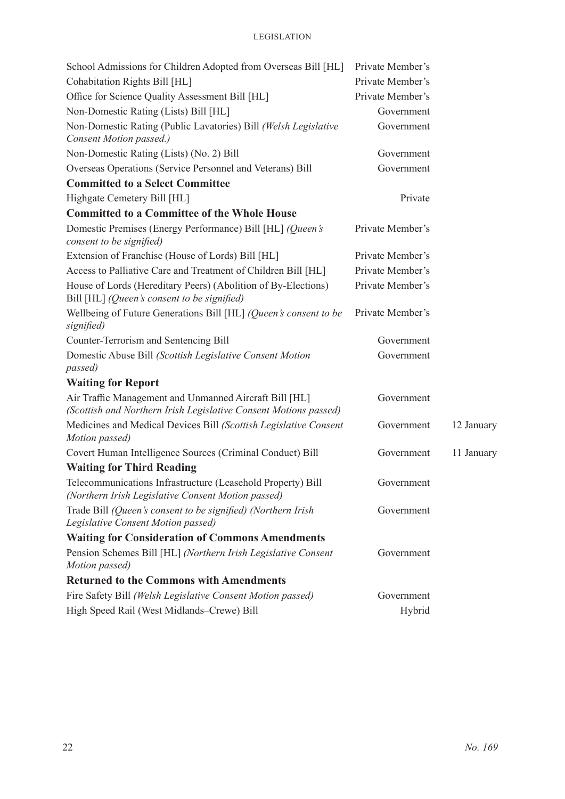| School Admissions for Children Adopted from Overseas Bill [HL]                                                             | Private Member's |            |
|----------------------------------------------------------------------------------------------------------------------------|------------------|------------|
| Cohabitation Rights Bill [HL]                                                                                              | Private Member's |            |
| Office for Science Quality Assessment Bill [HL]                                                                            | Private Member's |            |
| Non-Domestic Rating (Lists) Bill [HL]                                                                                      | Government       |            |
| Non-Domestic Rating (Public Lavatories) Bill (Welsh Legislative<br>Consent Motion passed.)                                 | Government       |            |
| Non-Domestic Rating (Lists) (No. 2) Bill                                                                                   | Government       |            |
| Overseas Operations (Service Personnel and Veterans) Bill                                                                  | Government       |            |
| <b>Committed to a Select Committee</b>                                                                                     |                  |            |
| Highgate Cemetery Bill [HL]                                                                                                | Private          |            |
| <b>Committed to a Committee of the Whole House</b>                                                                         |                  |            |
| Domestic Premises (Energy Performance) Bill [HL] (Queen's<br>consent to be signified)                                      | Private Member's |            |
| Extension of Franchise (House of Lords) Bill [HL]                                                                          | Private Member's |            |
| Access to Palliative Care and Treatment of Children Bill [HL]                                                              | Private Member's |            |
| House of Lords (Hereditary Peers) (Abolition of By-Elections)<br>Bill [HL] (Queen's consent to be signified)               | Private Member's |            |
| Wellbeing of Future Generations Bill [HL] (Queen's consent to be<br>signified)                                             | Private Member's |            |
| Counter-Terrorism and Sentencing Bill                                                                                      | Government       |            |
| Domestic Abuse Bill (Scottish Legislative Consent Motion<br>passed)                                                        | Government       |            |
| <b>Waiting for Report</b>                                                                                                  |                  |            |
| Air Traffic Management and Unmanned Aircraft Bill [HL]<br>(Scottish and Northern Irish Legislative Consent Motions passed) | Government       |            |
| Medicines and Medical Devices Bill (Scottish Legislative Consent<br>Motion passed)                                         | Government       | 12 January |
| Covert Human Intelligence Sources (Criminal Conduct) Bill                                                                  | Government       | 11 January |
| <b>Waiting for Third Reading</b>                                                                                           |                  |            |
| Telecommunications Infrastructure (Leasehold Property) Bill<br>(Northern Irish Legislative Consent Motion passed)          | Government       |            |
| Trade Bill (Queen's consent to be signified) (Northern Irish                                                               | Government       |            |
| Legislative Consent Motion passed)                                                                                         |                  |            |
| <b>Waiting for Consideration of Commons Amendments</b>                                                                     |                  |            |
| Pension Schemes Bill [HL] (Northern Irish Legislative Consent<br>Motion passed)                                            | Government       |            |
| <b>Returned to the Commons with Amendments</b>                                                                             |                  |            |
| Fire Safety Bill (Welsh Legislative Consent Motion passed)                                                                 | Government       |            |
| High Speed Rail (West Midlands-Crewe) Bill                                                                                 | Hybrid           |            |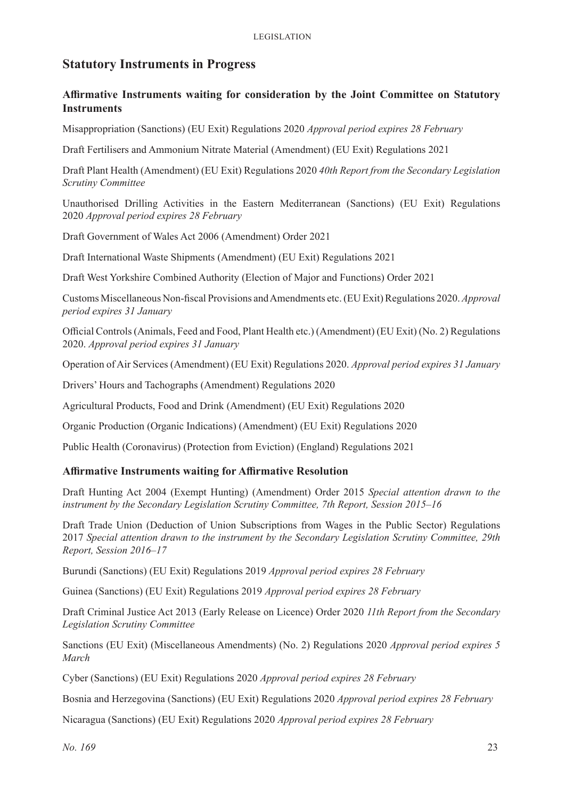# **Statutory Instruments in Progress**

#### **Affirmative Instruments waiting for consideration by the Joint Committee on Statutory Instruments**

Misappropriation (Sanctions) (EU Exit) Regulations 2020 *Approval period expires 28 February*

Draft Fertilisers and Ammonium Nitrate Material (Amendment) (EU Exit) Regulations 2021

Draft Plant Health (Amendment) (EU Exit) Regulations 2020 *40th Report from the Secondary Legislation Scrutiny Committee*

Unauthorised Drilling Activities in the Eastern Mediterranean (Sanctions) (EU Exit) Regulations 2020 *Approval period expires 28 February*

Draft Government of Wales Act 2006 (Amendment) Order 2021

Draft International Waste Shipments (Amendment) (EU Exit) Regulations 2021

Draft West Yorkshire Combined Authority (Election of Major and Functions) Order 2021

Customs Miscellaneous Non-fiscal Provisions and Amendments etc. (EU Exit) Regulations 2020. *Approval period expires 31 January*

Official Controls (Animals, Feed and Food, Plant Health etc.) (Amendment) (EU Exit) (No. 2) Regulations 2020. *Approval period expires 31 January*

Operation of Air Services (Amendment) (EU Exit) Regulations 2020. *Approval period expires 31 January*

Drivers' Hours and Tachographs (Amendment) Regulations 2020

Agricultural Products, Food and Drink (Amendment) (EU Exit) Regulations 2020

Organic Production (Organic Indications) (Amendment) (EU Exit) Regulations 2020

Public Health (Coronavirus) (Protection from Eviction) (England) Regulations 2021

#### **Affirmative Instruments waiting for Affirmative Resolution**

Draft Hunting Act 2004 (Exempt Hunting) (Amendment) Order 2015 *Special attention drawn to the instrument by the Secondary Legislation Scrutiny Committee, 7th Report, Session 2015–16*

Draft Trade Union (Deduction of Union Subscriptions from Wages in the Public Sector) Regulations 2017 *Special attention drawn to the instrument by the Secondary Legislation Scrutiny Committee, 29th Report, Session 2016–17*

Burundi (Sanctions) (EU Exit) Regulations 2019 *Approval period expires 28 February*

Guinea (Sanctions) (EU Exit) Regulations 2019 *Approval period expires 28 February*

Draft Criminal Justice Act 2013 (Early Release on Licence) Order 2020 *11th Report from the Secondary Legislation Scrutiny Committee*

Sanctions (EU Exit) (Miscellaneous Amendments) (No. 2) Regulations 2020 *Approval period expires 5 March*

Cyber (Sanctions) (EU Exit) Regulations 2020 *Approval period expires 28 February*

Bosnia and Herzegovina (Sanctions) (EU Exit) Regulations 2020 *Approval period expires 28 February*

Nicaragua (Sanctions) (EU Exit) Regulations 2020 *Approval period expires 28 February*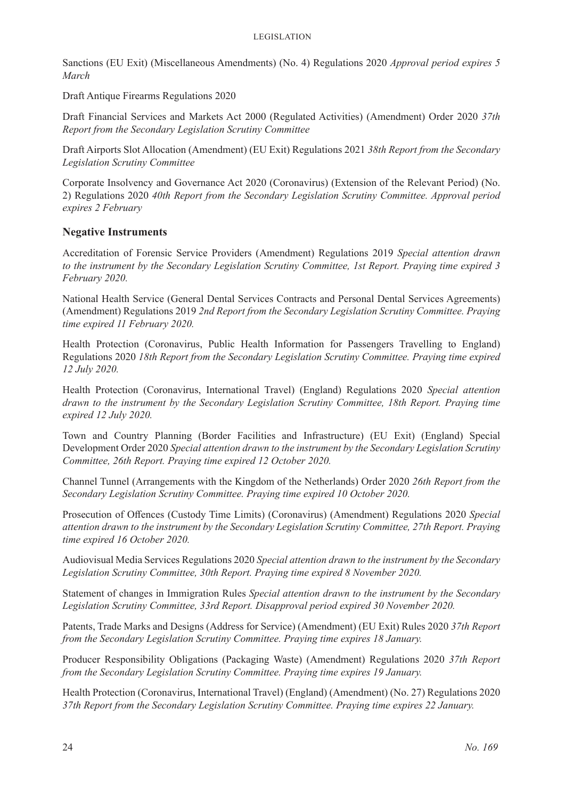Sanctions (EU Exit) (Miscellaneous Amendments) (No. 4) Regulations 2020 *Approval period expires 5 March*

Draft Antique Firearms Regulations 2020

Draft Financial Services and Markets Act 2000 (Regulated Activities) (Amendment) Order 2020 *37th Report from the Secondary Legislation Scrutiny Committee*

Draft Airports Slot Allocation (Amendment) (EU Exit) Regulations 2021 *38th Report from the Secondary Legislation Scrutiny Committee*

Corporate Insolvency and Governance Act 2020 (Coronavirus) (Extension of the Relevant Period) (No. 2) Regulations 2020 *40th Report from the Secondary Legislation Scrutiny Committee. Approval period expires 2 February*

#### **Negative Instruments**

Accreditation of Forensic Service Providers (Amendment) Regulations 2019 *Special attention drawn to the instrument by the Secondary Legislation Scrutiny Committee, 1st Report. Praying time expired 3 February 2020.* 

National Health Service (General Dental Services Contracts and Personal Dental Services Agreements) (Amendment) Regulations 2019 *2nd Report from the Secondary Legislation Scrutiny Committee. Praying time expired 11 February 2020.* 

Health Protection (Coronavirus, Public Health Information for Passengers Travelling to England) Regulations 2020 *18th Report from the Secondary Legislation Scrutiny Committee. Praying time expired 12 July 2020.* 

Health Protection (Coronavirus, International Travel) (England) Regulations 2020 *Special attention drawn to the instrument by the Secondary Legislation Scrutiny Committee, 18th Report. Praying time expired 12 July 2020.* 

Town and Country Planning (Border Facilities and Infrastructure) (EU Exit) (England) Special Development Order 2020 *Special attention drawn to the instrument by the Secondary Legislation Scrutiny Committee, 26th Report. Praying time expired 12 October 2020.*

Channel Tunnel (Arrangements with the Kingdom of the Netherlands) Order 2020 *26th Report from the Secondary Legislation Scrutiny Committee. Praying time expired 10 October 2020.*

Prosecution of Offences (Custody Time Limits) (Coronavirus) (Amendment) Regulations 2020 *Special attention drawn to the instrument by the Secondary Legislation Scrutiny Committee, 27th Report. Praying time expired 16 October 2020.*

Audiovisual Media Services Regulations 2020 *Special attention drawn to the instrument by the Secondary Legislation Scrutiny Committee, 30th Report. Praying time expired 8 November 2020.*

Statement of changes in Immigration Rules *Special attention drawn to the instrument by the Secondary Legislation Scrutiny Committee, 33rd Report. Disapproval period expired 30 November 2020.*

Patents, Trade Marks and Designs (Address for Service) (Amendment) (EU Exit) Rules 2020 *37th Report from the Secondary Legislation Scrutiny Committee. Praying time expires 18 January.*

Producer Responsibility Obligations (Packaging Waste) (Amendment) Regulations 2020 *37th Report from the Secondary Legislation Scrutiny Committee. Praying time expires 19 January.*

Health Protection (Coronavirus, International Travel) (England) (Amendment) (No. 27) Regulations 2020 *37th Report from the Secondary Legislation Scrutiny Committee. Praying time expires 22 January.*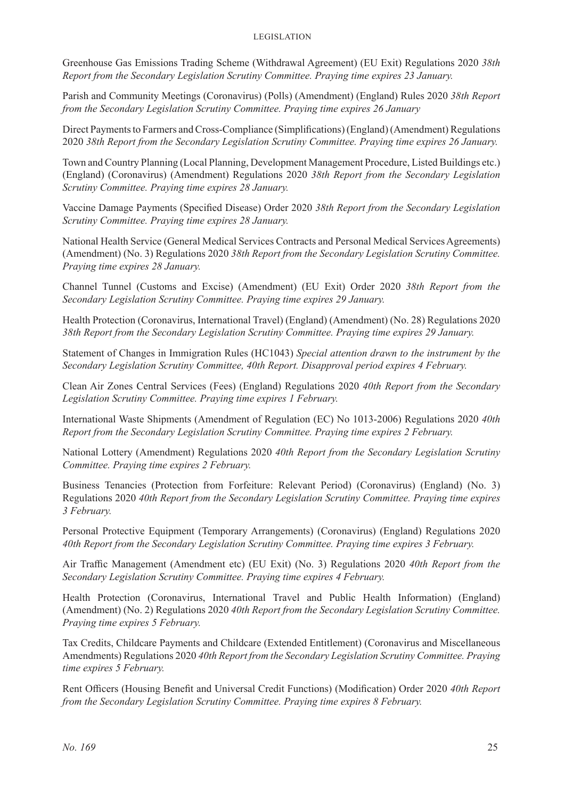Greenhouse Gas Emissions Trading Scheme (Withdrawal Agreement) (EU Exit) Regulations 2020 *38th Report from the Secondary Legislation Scrutiny Committee. Praying time expires 23 January.*

Parish and Community Meetings (Coronavirus) (Polls) (Amendment) (England) Rules 2020 *38th Report from the Secondary Legislation Scrutiny Committee. Praying time expires 26 January*

Direct Payments to Farmers and Cross-Compliance (Simplifications) (England) (Amendment) Regulations 2020 *38th Report from the Secondary Legislation Scrutiny Committee. Praying time expires 26 January.*

Town and Country Planning (Local Planning, Development Management Procedure, Listed Buildings etc.) (England) (Coronavirus) (Amendment) Regulations 2020 *38th Report from the Secondary Legislation Scrutiny Committee. Praying time expires 28 January.*

Vaccine Damage Payments (Specified Disease) Order 2020 *38th Report from the Secondary Legislation Scrutiny Committee. Praying time expires 28 January.*

National Health Service (General Medical Services Contracts and Personal Medical Services Agreements) (Amendment) (No. 3) Regulations 2020 *38th Report from the Secondary Legislation Scrutiny Committee. Praying time expires 28 January.*

Channel Tunnel (Customs and Excise) (Amendment) (EU Exit) Order 2020 *38th Report from the Secondary Legislation Scrutiny Committee. Praying time expires 29 January.*

Health Protection (Coronavirus, International Travel) (England) (Amendment) (No. 28) Regulations 2020 *38th Report from the Secondary Legislation Scrutiny Committee. Praying time expires 29 January.*

Statement of Changes in Immigration Rules (HC1043) *Special attention drawn to the instrument by the Secondary Legislation Scrutiny Committee, 40th Report. Disapproval period expires 4 February.*

Clean Air Zones Central Services (Fees) (England) Regulations 2020 *40th Report from the Secondary Legislation Scrutiny Committee. Praying time expires 1 February.*

International Waste Shipments (Amendment of Regulation (EC) No 1013-2006) Regulations 2020 *40th Report from the Secondary Legislation Scrutiny Committee. Praying time expires 2 February.*

National Lottery (Amendment) Regulations 2020 *40th Report from the Secondary Legislation Scrutiny Committee. Praying time expires 2 February.*

Business Tenancies (Protection from Forfeiture: Relevant Period) (Coronavirus) (England) (No. 3) Regulations 2020 *40th Report from the Secondary Legislation Scrutiny Committee. Praying time expires 3 February.*

Personal Protective Equipment (Temporary Arrangements) (Coronavirus) (England) Regulations 2020 *40th Report from the Secondary Legislation Scrutiny Committee. Praying time expires 3 February.*

Air Traffic Management (Amendment etc) (EU Exit) (No. 3) Regulations 2020 *40th Report from the Secondary Legislation Scrutiny Committee. Praying time expires 4 February.*

Health Protection (Coronavirus, International Travel and Public Health Information) (England) (Amendment) (No. 2) Regulations 2020 *40th Report from the Secondary Legislation Scrutiny Committee. Praying time expires 5 February.*

Tax Credits, Childcare Payments and Childcare (Extended Entitlement) (Coronavirus and Miscellaneous Amendments) Regulations 2020 *40th Report from the Secondary Legislation Scrutiny Committee. Praying time expires 5 February.*

Rent Officers (Housing Benefit and Universal Credit Functions) (Modification) Order 2020 *40th Report from the Secondary Legislation Scrutiny Committee. Praying time expires 8 February.*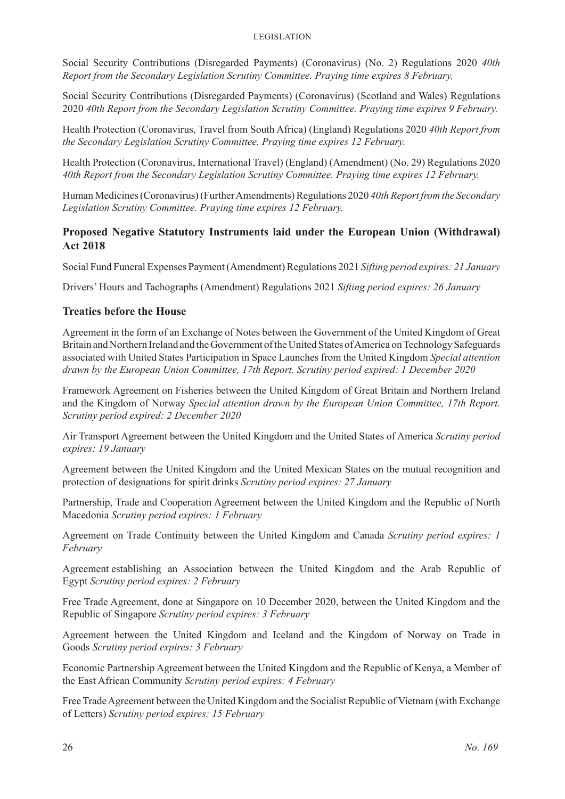Social Security Contributions (Disregarded Payments) (Coronavirus) (No. 2) Regulations 2020 *40th Report from the Secondary Legislation Scrutiny Committee. Praying time expires 8 February.*

Social Security Contributions (Disregarded Payments) (Coronavirus) (Scotland and Wales) Regulations 2020 *40th Report from the Secondary Legislation Scrutiny Committee. Praying time expires 9 February.*

Health Protection (Coronavirus, Travel from South Africa) (England) Regulations 2020 *40th Report from the Secondary Legislation Scrutiny Committee. Praying time expires 12 February.*

Health Protection (Coronavirus, International Travel) (England) (Amendment) (No. 29) Regulations 2020 *40th Report from the Secondary Legislation Scrutiny Committee. Praying time expires 12 February.*

Human Medicines (Coronavirus) (Further Amendments) Regulations 2020 *40th Report from the Secondary Legislation Scrutiny Committee. Praying time expires 12 February.*

#### **Proposed Negative Statutory Instruments laid under the European Union (Withdrawal) Act 2018**

Social Fund Funeral Expenses Payment (Amendment) Regulations 2021 *Sifting period expires: 21 January*

Drivers' Hours and Tachographs (Amendment) Regulations 2021 *Sifting period expires: 26 January*

#### **Treaties before the House**

Agreement in the form of an Exchange of Notes between the Government of the United Kingdom of Great Britain and Northern Ireland and the Government of the United States of America on Technology Safeguards associated with United States Participation in Space Launches from the United Kingdom *Special attention drawn by the European Union Committee, 17th Report. Scrutiny period expired: 1 December 2020*

Framework Agreement on Fisheries between the United Kingdom of Great Britain and Northern Ireland and the Kingdom of Norway *Special attention drawn by the European Union Committee, 17th Report. Scrutiny period expired: 2 December 2020*

Air Transport Agreement between the United Kingdom and the United States of America *Scrutiny period expires: 19 January*

Agreement between the United Kingdom and the United Mexican States on the mutual recognition and protection of designations for spirit drinks *Scrutiny period expires: 27 January*

Partnership, Trade and Cooperation Agreement between the United Kingdom and the Republic of North Macedonia *Scrutiny period expires: 1 February*

Agreement on Trade Continuity between the United Kingdom and Canada *Scrutiny period expires: 1 February*

Agreement establishing an Association between the United Kingdom and the Arab Republic of Egypt *Scrutiny period expires: 2 February*

Free Trade Agreement, done at Singapore on 10 December 2020, between the United Kingdom and the Republic of Singapore *Scrutiny period expires: 3 February*

Agreement between the United Kingdom and Iceland and the Kingdom of Norway on Trade in Goods *Scrutiny period expires: 3 February*

Economic Partnership Agreement between the United Kingdom and the Republic of Kenya, a Member of the East African Community *Scrutiny period expires: 4 February*

Free Trade Agreement between the United Kingdom and the Socialist Republic of Vietnam (with Exchange of Letters) *Scrutiny period expires: 15 February*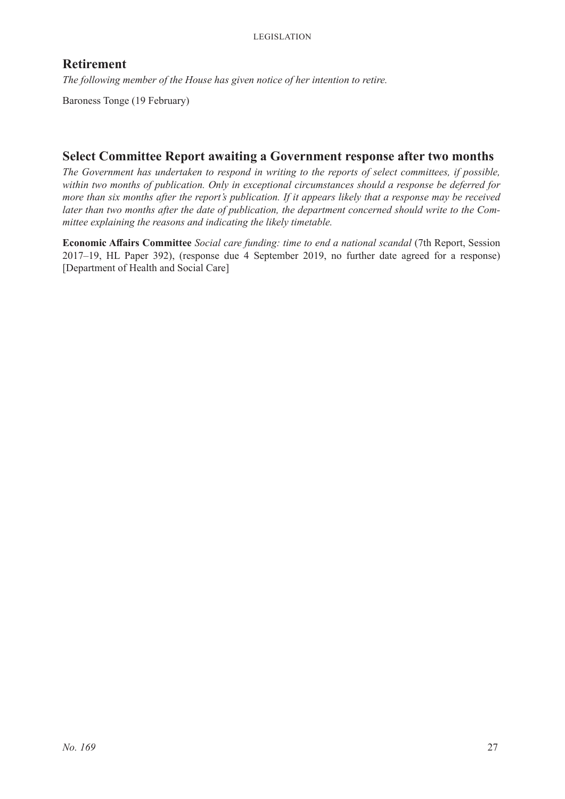# **Retirement**

*The following member of the House has given notice of her intention to retire.*

Baroness Tonge (19 February)

# **Select Committee Report awaiting a Government response after two months**

*The Government has undertaken to respond in writing to the reports of select committees, if possible, within two months of publication. Only in exceptional circumstances should a response be deferred for more than six months after the report's publication. If it appears likely that a response may be received later than two months after the date of publication, the department concerned should write to the Committee explaining the reasons and indicating the likely timetable.*

**Economic Affairs Committee** *Social care funding: time to end a national scandal* (7th Report, Session 2017–19, HL Paper 392), (response due 4 September 2019, no further date agreed for a response) [Department of Health and Social Care]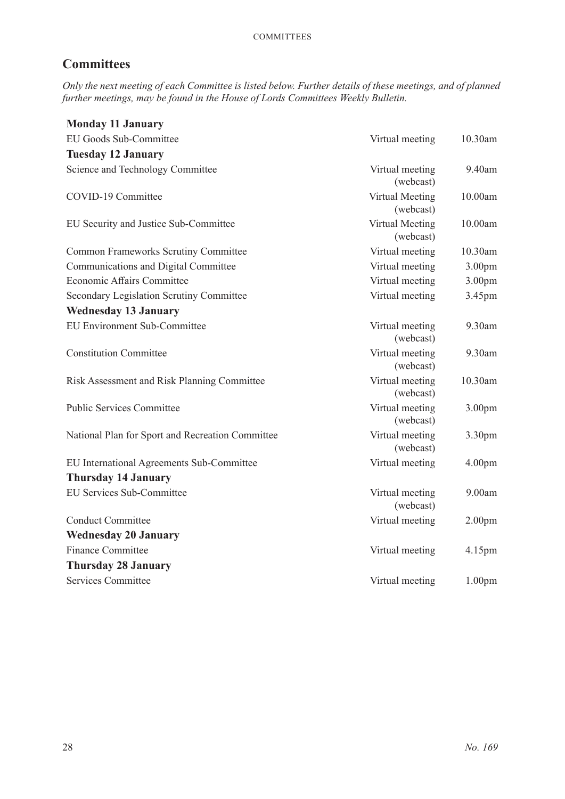# **Committees**

*Only the next meeting of each Committee is listed below. Further details of these meetings, and of planned further meetings, may be found in the House of Lords Committees Weekly Bulletin.*

| <b>Monday 11 January</b>                         |                              |                    |
|--------------------------------------------------|------------------------------|--------------------|
| EU Goods Sub-Committee                           | Virtual meeting              | 10.30am            |
| <b>Tuesday 12 January</b>                        |                              |                    |
| Science and Technology Committee                 | Virtual meeting<br>(webcast) | 9.40am             |
| COVID-19 Committee                               | Virtual Meeting<br>(webcast) | 10.00am            |
| EU Security and Justice Sub-Committee            | Virtual Meeting<br>(webcast) | 10.00am            |
| <b>Common Frameworks Scrutiny Committee</b>      | Virtual meeting              | 10.30am            |
| Communications and Digital Committee             | Virtual meeting              | 3.00 <sub>pm</sub> |
| Economic Affairs Committee                       | Virtual meeting              | 3.00 <sub>pm</sub> |
| Secondary Legislation Scrutiny Committee         | Virtual meeting              | 3.45pm             |
| <b>Wednesday 13 January</b>                      |                              |                    |
| <b>EU Environment Sub-Committee</b>              | Virtual meeting<br>(webcast) | 9.30am             |
| <b>Constitution Committee</b>                    | Virtual meeting<br>(webcast) | 9.30am             |
| Risk Assessment and Risk Planning Committee      | Virtual meeting<br>(webcast) | 10.30am            |
| <b>Public Services Committee</b>                 | Virtual meeting<br>(webcast) | 3.00 <sub>pm</sub> |
| National Plan for Sport and Recreation Committee | Virtual meeting<br>(webcast) | 3.30pm             |
| EU International Agreements Sub-Committee        | Virtual meeting              | 4.00 <sub>pm</sub> |
| <b>Thursday 14 January</b>                       |                              |                    |
| <b>EU Services Sub-Committee</b>                 | Virtual meeting<br>(webcast) | 9.00am             |
| <b>Conduct Committee</b>                         | Virtual meeting              | 2.00 <sub>pm</sub> |
| <b>Wednesday 20 January</b>                      |                              |                    |
| <b>Finance Committee</b>                         | Virtual meeting              | 4.15pm             |
| <b>Thursday 28 January</b>                       |                              |                    |
| <b>Services Committee</b>                        | Virtual meeting              | 1.00 <sub>pm</sub> |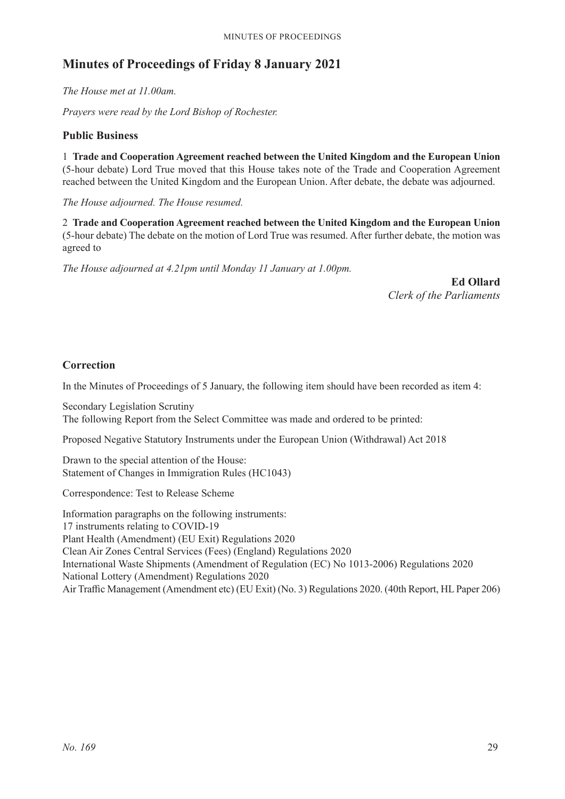# **Minutes of Proceedings of Friday 8 January 2021**

*The House met at 11.00am.*

*Prayers were read by the Lord Bishop of Rochester.*

#### **Public Business**

1 **Trade and Cooperation Agreement reached between the United Kingdom and the European Union** (5-hour debate) Lord True moved that this House takes note of the Trade and Cooperation Agreement reached between the United Kingdom and the European Union. After debate, the debate was adjourned.

*The House adjourned. The House resumed.*

2 **Trade and Cooperation Agreement reached between the United Kingdom and the European Union** (5-hour debate) The debate on the motion of Lord True was resumed. After further debate, the motion was agreed to

*The House adjourned at 4.21pm until Monday 11 January at 1.00pm.*

**Ed Ollard** *Clerk of the Parliaments*

#### **Correction**

In the Minutes of Proceedings of 5 January, the following item should have been recorded as item 4:

Secondary Legislation Scrutiny The following Report from the Select Committee was made and ordered to be printed:

Proposed Negative Statutory Instruments under the European Union (Withdrawal) Act 2018

Drawn to the special attention of the House: Statement of Changes in Immigration Rules (HC1043)

Correspondence: Test to Release Scheme

Information paragraphs on the following instruments: 17 instruments relating to COVID-19 Plant Health (Amendment) (EU Exit) Regulations 2020 Clean Air Zones Central Services (Fees) (England) Regulations 2020 International Waste Shipments (Amendment of Regulation (EC) No 1013-2006) Regulations 2020 National Lottery (Amendment) Regulations 2020 Air Traffic Management (Amendment etc) (EU Exit) (No. 3) Regulations 2020. (40th Report, HL Paper 206)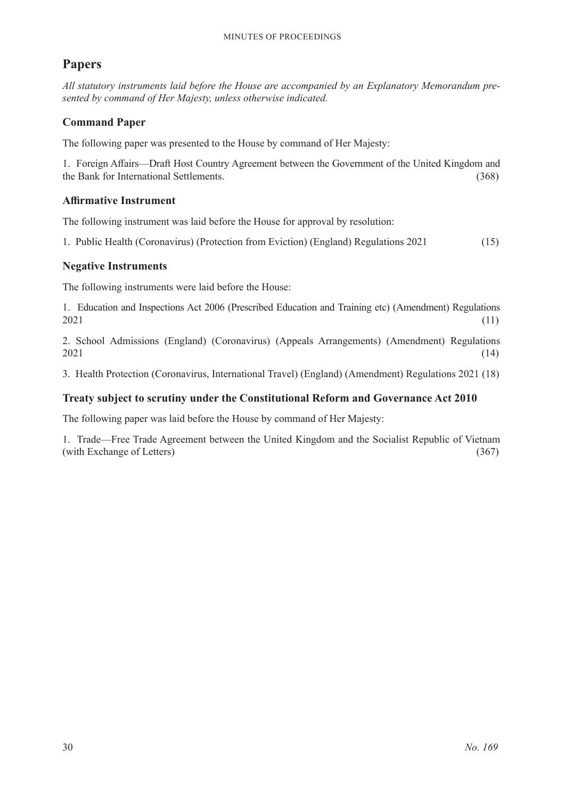# **Papers**

*All statutory instruments laid before the House are accompanied by an Explanatory Memorandum presented by command of Her Majesty, unless otherwise indicated.*

#### **Command Paper**

The following paper was presented to the House by command of Her Majesty:

1. Foreign Affairs—Draft Host Country Agreement between the Government of the United Kingdom and the Bank for International Settlements. (368)

#### **Affirmative Instrument**

The following instrument was laid before the House for approval by resolution:

1. Public Health (Coronavirus) (Protection from Eviction) (England) Regulations 2021 (15)

#### **Negative Instruments**

The following instruments were laid before the House:

1. Education and Inspections Act 2006 (Prescribed Education and Training etc) (Amendment) Regulations  $2021$  (11)

2. School Admissions (England) (Coronavirus) (Appeals Arrangements) (Amendment) Regulations 2021 (14)

3. Health Protection (Coronavirus, International Travel) (England) (Amendment) Regulations 2021 (18)

#### **Treaty subject to scrutiny under the Constitutional Reform and Governance Act 2010**

The following paper was laid before the House by command of Her Majesty:

1. Trade—Free Trade Agreement between the United Kingdom and the Socialist Republic of Vietnam (with Exchange of Letters) (367)